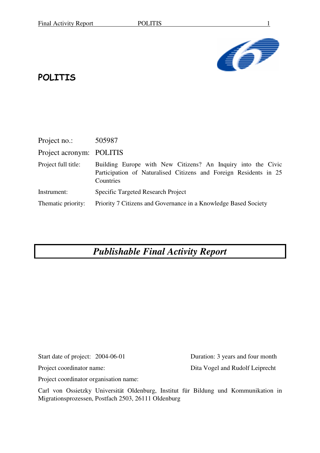

## POLITIS

| Project no.:             | 505987                                                                                                                                         |  |
|--------------------------|------------------------------------------------------------------------------------------------------------------------------------------------|--|
| Project acronym: POLITIS |                                                                                                                                                |  |
| Project full title:      | Building Europe with New Citizens? An Inquiry into the Civic<br>Participation of Naturalised Citizens and Foreign Residents in 25<br>Countries |  |
| Instrument:              | Specific Targeted Research Project                                                                                                             |  |
| Thematic priority:       | Priority 7 Citizens and Governance in a Knowledge Based Society                                                                                |  |

# *Publishable Final Activity Report*

Project coordinator organisation name:

Start date of project: 2004-06-01 Duration: 3 years and four month Project coordinator name: Dita Vogel and Rudolf Leiprecht

Carl von Ossietzky Universität Oldenburg, Institut für Bildung und Kommunikation in Migrationsprozessen, Postfach 2503, 26111 Oldenburg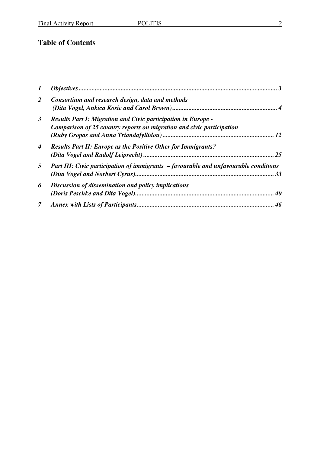## **Table of Contents**

| 2                    | Consortium and research design, data and methods                                                                                              |
|----------------------|-----------------------------------------------------------------------------------------------------------------------------------------------|
| $\boldsymbol{\beta}$ | <b>Results Part I: Migration and Civic participation in Europe -</b><br>Comparison of 25 country reports on migration and civic participation |
| 4                    | <b>Results Part II: Europe as the Positive Other for Immigrants?</b><br>25                                                                    |
| 5                    | Part III: Civic participation of immigrants - favourable and unfavourable conditions<br>33                                                    |
| 6                    | Discussion of dissemination and policy implications                                                                                           |
| $\mathcal{I}$        |                                                                                                                                               |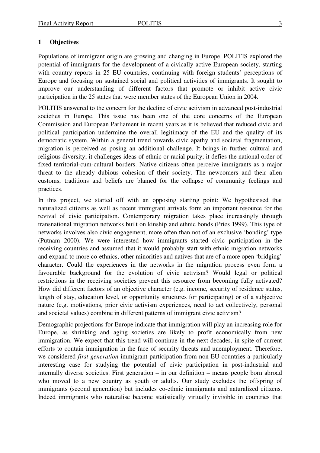## **1 Objectives**

Populations of immigrant origin are growing and changing in Europe. POLITIS explored the potential of immigrants for the development of a civically active European society, starting with country reports in 25 EU countries, continuing with foreign students' perceptions of Europe and focusing on sustained social and political activities of immigrants. It sought to improve our understanding of different factors that promote or inhibit active civic participation in the 25 states that were member states of the European Union in 2004.

POLITIS answered to the concern for the decline of civic activism in advanced post-industrial societies in Europe. This issue has been one of the core concerns of the European Commission and European Parliament in recent years as it is believed that reduced civic and political participation undermine the overall legitimacy of the EU and the quality of its democratic system. Within a general trend towards civic apathy and societal fragmentation, migration is perceived as posing an additional challenge. It brings in further cultural and religious diversity; it challenges ideas of ethnic or racial purity; it defies the national order of fixed territorial-cum-cultural borders. Native citizens often perceive immigrants as a major threat to the already dubious cohesion of their society. The newcomers and their alien customs, traditions and beliefs are blamed for the collapse of community feelings and practices.

In this project, we started off with an opposing starting point: We hypothesised that naturalized citizens as well as recent immigrant arrivals form an important resource for the revival of civic participation. Contemporary migration takes place increasingly through transnational migration networks built on kinship and ethnic bonds (Pries 1999). This type of networks involves also civic engagement, more often than not of an exclusive 'bonding' type (Putnam 2000). We were interested how immigrants started civic participation in the receiving countries and assumed that it would probably start with ethnic migration networks and expand to more co-ethnics, other minorities and natives that are of a more open 'bridging' character. Could the experiences in the networks in the migration process even form a favourable background for the evolution of civic activism? Would legal or political restrictions in the receiving societies prevent this resource from becoming fully activated? How did different factors of an objective character (e.g. income, security of residence status, length of stay, education level, or opportunity structures for participating) or of a subjective nature (e.g. motivations, prior civic activism experiences, need to act collectively, personal and societal values) combine in different patterns of immigrant civic activism?

Demographic projections for Europe indicate that immigration will play an increasing role for Europe, as shrinking and aging societies are likely to profit economically from new immigration. We expect that this trend will continue in the next decades, in spite of current efforts to contain immigration in the face of security threats and unemployment. Therefore, we considered *first generation* immigrant participation from non EU-countries a particularly interesting case for studying the potential of civic participation in post-industrial and internally diverse societies. First generation – in our definition – means people born abroad who moved to a new country as youth or adults. Our study excludes the offspring of immigrants (second generation) but includes co-ethnic immigrants and naturalized citizens. Indeed immigrants who naturalise become statistically virtually invisible in countries that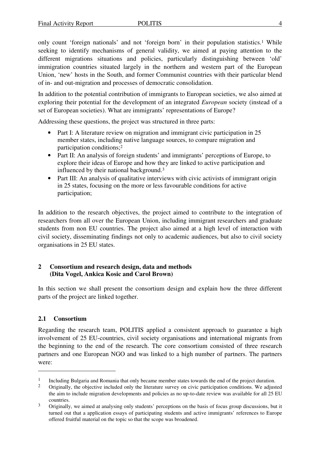only count 'foreign nationals' and not 'foreign born' in their population statistics.1 While seeking to identify mechanisms of general validity, we aimed at paying attention to the different migrations situations and policies, particularly distinguishing between 'old' immigration countries situated largely in the northern and western part of the European Union, 'new' hosts in the South, and former Communist countries with their particular blend of in- and out-migration and processes of democratic consolidation.

In addition to the potential contribution of immigrants to European societies, we also aimed at exploring their potential for the development of an integrated *European* society (instead of a set of European societies). What are immigrants' representations of Europe?

Addressing these questions, the project was structured in three parts:

- Part I: A literature review on migration and immigrant civic participation in 25 member states, including native language sources, to compare migration and participation conditions;<sup>2</sup>
- Part II: An analysis of foreign students' and immigrants' perceptions of Europe, to explore their ideas of Europe and how they are linked to active participation and influenced by their national background.<sup>3</sup>
- Part III: An analysis of qualitative interviews with civic activists of immigrant origin in 25 states, focusing on the more or less favourable conditions for active participation;

In addition to the research objectives, the project aimed to contribute to the integration of researchers from all over the European Union, including immigrant researchers and graduate students from non EU countries. The project also aimed at a high level of interaction with civil society, disseminating findings not only to academic audiences, but also to civil society organisations in 25 EU states.

## **2 Consortium and research design, data and methods (Dita Vogel, Ankica Kosic and Carol Brown)**

In this section we shall present the consortium design and explain how the three different parts of the project are linked together.

## **2.1 Consortium**

 $\overline{a}$ 

Regarding the research team, POLITIS applied a consistent approach to guarantee a high involvement of 25 EU-countries, civil society organisations and international migrants from the beginning to the end of the research. The core consortium consisted of three research partners and one European NGO and was linked to a high number of partners. The partners were:

<sup>&</sup>lt;sup>1</sup> Including Bulgaria and Romania that only became member states towards the end of the project duration.

<sup>&</sup>lt;sup>2</sup> Originally, the objective included only the literature survey on civic participation conditions. We adjusted the aim to include migration developments and policies as no up-to-date review was available for all 25 EU countries.

<sup>&</sup>lt;sup>3</sup> Originally, we aimed at analysing only students' perceptions on the basis of focus group discussions, but it turned out that a application essays of participating students and active immigrants' references to Europe offered fruitful material on the topic so that the scope was broadened.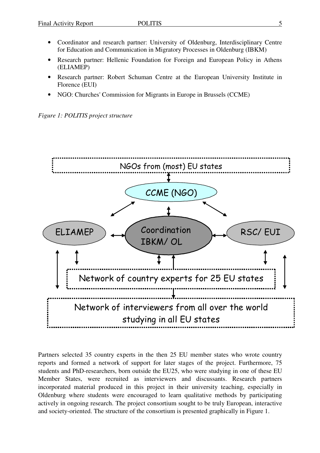- Coordinator and research partner: University of Oldenburg, Interdisciplinary Centre for Education and Communication in Migratory Processes in Oldenburg (IBKM)
- Research partner: Hellenic Foundation for Foreign and European Policy in Athens (ELIAMEP)
- Research partner: Robert Schuman Centre at the European University Institute in Florence (EUI)
- NGO: Churches' Commission for Migrants in Europe in Brussels (CCME)





Partners selected 35 country experts in the then 25 EU member states who wrote country reports and formed a network of support for later stages of the project. Furthermore, 75 students and PhD-researchers, born outside the EU25, who were studying in one of these EU Member States, were recruited as interviewers and discussants. Research partners incorporated material produced in this project in their university teaching, especially in Oldenburg where students were encouraged to learn qualitative methods by participating actively in ongoing research. The project consortium sought to be truly European, interactive and society-oriented. The structure of the consortium is presented graphically in Figure 1.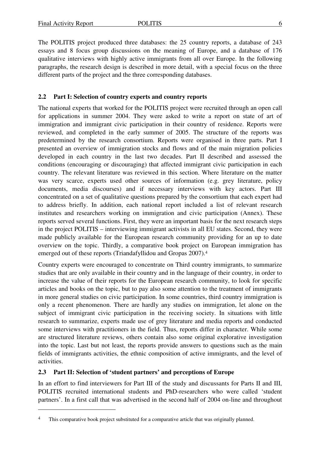The POLITIS project produced three databases: the 25 country reports, a database of 243 essays and 8 focus group discussions on the meaning of Europe, and a database of 176 qualitative interviews with highly active immigrants from all over Europe. In the following paragraphs, the research design is described in more detail, with a special focus on the three different parts of the project and the three corresponding databases.

## **2.2 Part I: Selection of country experts and country reports**

The national experts that worked for the POLITIS project were recruited through an open call for applications in summer 2004. They were asked to write a report on state of art of immigration and immigrant civic participation in their country of residence. Reports were reviewed, and completed in the early summer of 2005. The structure of the reports was predetermined by the research consortium. Reports were organised in three parts. Part I presented an overview of immigration stocks and flows and of the main migration policies developed in each country in the last two decades. Part II described and assessed the conditions (encouraging or discouraging) that affected immigrant civic participation in each country. The relevant literature was reviewed in this section. Where literature on the matter was very scarce, experts used other sources of information (e.g. grey literature, policy documents, media discourses) and if necessary interviews with key actors. Part III concentrated on a set of qualitative questions prepared by the consortium that each expert had to address briefly. In addition, each national report included a list of relevant research institutes and researchers working on immigration and civic participation (Annex). These reports served several functions. First, they were an important basis for the next research steps in the project POLITIS – interviewing immigrant activists in all EU states. Second, they were made publicly available for the European research community providing for an up to date overview on the topic. Thirdly, a comparative book project on European immigration has emerged out of these reports (Triandafyllidou and Gropas 2007).<sup>4</sup>

Country experts were encouraged to concentrate on Third country immigrants, to summarize studies that are only available in their country and in the language of their country, in order to increase the value of their reports for the European research community, to look for specific articles and books on the topic, but to pay also some attention to the treatment of immigrants in more general studies on civic participation. In some countries, third country immigration is only a recent phenomenon. There are hardly any studies on immigration, let alone on the subject of immigrant civic participation in the receiving society. In situations with little research to summarize, experts made use of grey literature and media reports and conducted some interviews with practitioners in the field. Thus, reports differ in character. While some are structured literature reviews, others contain also some original explorative investigation into the topic. Last but not least, the reports provide answers to questions such as the main fields of immigrants activities, the ethnic composition of active immigrants, and the level of activities.

## **2.3 Part II: Selection of 'student partners' and perceptions of Europe**

In an effort to find interviewers for Part III of the study and discussants for Parts II and III, POLITIS recruited international students and PhD-researchers who were called 'student partners'. In a first call that was advertised in the second half of 2004 on-line and throughout

<sup>4</sup> This comparative book project substituted for a comparative article that was originally planned.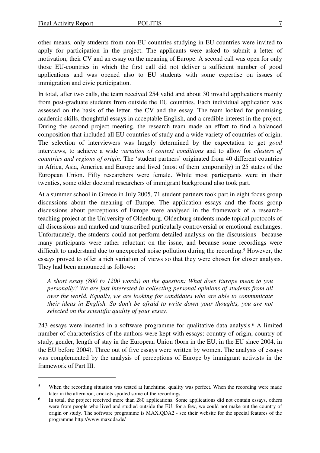other means, only students from non-EU countries studying in EU countries were invited to apply for participation in the project. The applicants were asked to submit a letter of motivation, their CV and an essay on the meaning of Europe. A second call was open for only those EU-countries in which the first call did not deliver a sufficient number of good applications and was opened also to EU students with some expertise on issues of immigration and civic participation.

In total, after two calls, the team received 254 valid and about 30 invalid applications mainly from post-graduate students from outside the EU countries. Each individual application was assessed on the basis of the letter, the CV and the essay. The team looked for promising academic skills, thoughtful essays in acceptable English, and a credible interest in the project. During the second project meeting, the research team made an effort to find a balanced composition that included all EU countries of study and a wide variety of countries of origin. The selection of interviewers was largely determined by the expectation to get *good* interviews, to achieve a wide *variation of context conditions* and to allow for *clusters of countries and regions of origin.* The 'student partners' originated from 40 different countries in Africa, Asia, America and Europe and lived (most of them temporarily) in 25 states of the European Union. Fifty researchers were female. While most participants were in their twenties, some older doctoral researchers of immigrant background also took part.

At a summer school in Greece in July 2005, 71 student partners took part in eight focus group discussions about the meaning of Europe. The application essays and the focus group discussions about perceptions of Europe were analysed in the framework of a researchteaching project at the University of Oldenburg. Oldenburg students made topical protocols of all discussions and marked and transcribed particularly controversial or emotional exchanges. Unfortunately, the students could not perform detailed analysis on the discussions –because many participants were rather reluctant on the issue, and because some recordings were difficult to understand due to unexpected noise pollution during the recording.<sup>5</sup> However, the essays proved to offer a rich variation of views so that they were chosen for closer analysis. They had been announced as follows:

*A short essay (800 to 1200 words) on the question: What does Europe mean to you personally? We are just interested in collecting personal opinions of students from all over the world. Equally, we are looking for candidates who are able to communicate their ideas in English. So don't be afraid to write down your thoughts, you are not selected on the scientific quality of your essay.* 

243 essays were inserted in a software programme for qualitative data analysis.6 A limited number of characteristics of the authors were kept with essays: country of origin, country of study, gender, length of stay in the European Union (born in the EU, in the EU since 2004, in the EU before 2004). Three out of five essays were written by women. The analysis of essays was complemented by the analysis of perceptions of Europe by immigrant activists in the framework of Part III.

<sup>&</sup>lt;sup>5</sup> When the recording situation was tested at lunchtime, quality was perfect. When the recording were made later in the afternoon, crickets spoiled some of the recordings.

<sup>&</sup>lt;sup>6</sup> In total, the project received more than 280 applications. Some applications did not contain essays, others were from people who lived and studied outside the EU, for a few, we could not make out the country of origin or study. The software programme is MAX.QDA2 - see their website for the special features of the programme http://www.maxqda.de/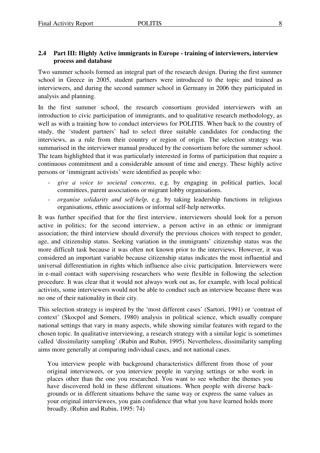## **2.4 Part III: Highly Active immigrants in Europe - training of interviewers, interview process and database**

Two summer schools formed an integral part of the research design. During the first summer school in Greece in 2005, student partners were introduced to the topic and trained as interviewers, and during the second summer school in Germany in 2006 they participated in analysis and planning.

In the first summer school, the research consortium provided interviewers with an introduction to civic participation of immigrants, and to qualitative research methodology, as well as with a training how to conduct interviews for POLITIS. When back to the country of study, the 'student partners' had to select three suitable candidates for conducting the interviews, as a rule from their country or region of origin. The selection strategy was summarised in the interviewer manual produced by the consortium before the summer school. The team highlighted that it was particularly interested in forms of participation that require a continuous commitment and a considerable amount of time and energy. These highly active persons or 'immigrant activists' were identified as people who:

- *give a voice to societal concerns*, e.g. by engaging in political parties, local committees, parent associations or migrant lobby organisations.
- *organise solidarity and self-help*, e.g. by taking leadership functions in religious organisations, ethnic associations or informal self-help networks.

It was further specified that for the first interview, interviewers should look for a person active in politics; for the second interview, a person active in an ethnic or immigrant association; the third interview should diversify the previous choices with respect to gender, age, and citizenship status. Seeking variation in the immigrants' citizenship status was the more difficult task because it was often not known prior to the interviews. However, it was considered an important variable because citizenship status indicates the most influential and universal differentiation in rights which influence also civic participation. Interviewers were in e-mail contact with supervising researchers who were flexible in following the selection procedure. It was clear that it would not always work out as, for example, with local political activists, some interviewers would not be able to conduct such an interview because there was no one of their nationality in their city.

This selection strategy is inspired by the 'most different cases' (Sartori, 1991) or 'contrast of context' (Skocpol and Somers, 1980) analysis in political science, which usually compare national settings that vary in many aspects, while showing similar features with regard to the chosen topic. In qualitative interviewing, a research strategy with a similar logic is sometimes called 'dissimilarity sampling' (Rubin and Rubin, 1995). Nevertheless, dissimilarity sampling aims more generally at comparing individual cases, and not national cases.

You interview people with background characteristics different from those of your original interviewees, or you interview people in varying settings or who work in places other than the one you researched. You want to see whether the themes you have discovered hold in these different situations. When people with diverse backgrounds or in different situations behave the same way or express the same values as your original interviewees, you gain confidence that what you have learned holds more broadly. (Rubin and Rubin, 1995: 74)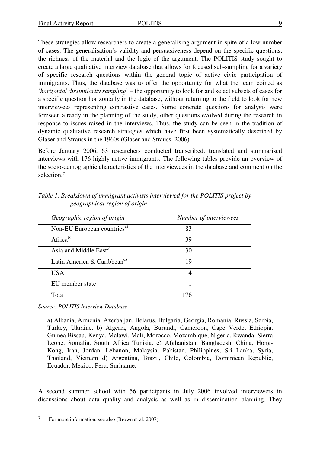These strategies allow researchers to create a generalising argument in spite of a low number of cases. The generalisation's validity and persuasiveness depend on the specific questions, the richness of the material and the logic of the argument. The POLITIS study sought to create a large qualitative interview database that allows for focused sub-sampling for a variety of specific research questions within the general topic of active civic participation of immigrants. Thus, the database was to offer the opportunity for what the team coined as '*horizontal dissimilarity sampling*' – the opportunity to look for and select subsets of cases for a specific question horizontally in the database, without returning to the field to look for new interviewees representing contrastive cases. Some concrete questions for analysis were foreseen already in the planning of the study, other questions evolved during the research in response to issues raised in the interviews. Thus, the study can be seen in the tradition of dynamic qualitative research strategies which have first been systematically described by Glaser and Strauss in the 1960s (Glaser and Strauss, 2006).

Before January 2006, 63 researchers conducted transcribed, translated and summarised interviews with 176 highly active immigrants. The following tables provide an overview of the socio-demographic characteristics of the interviewees in the database and comment on the selection.<sup>7</sup>

| Geographic region of origin             | Number of interviewees |
|-----------------------------------------|------------------------|
| Non-EU European countries <sup>a)</sup> | 83                     |
| Africa $b$                              | 39                     |
| Asia and Middle East <sup>c)</sup>      | 30                     |
| Latin America & Caribbean <sup>d)</sup> | 19                     |
| <b>USA</b>                              | 4                      |
| EU member state                         |                        |
| Total                                   | 176                    |

*Table 1. Breakdown of immigrant activists interviewed for the POLITIS project by geographical region of origin* 

*Source: POLITIS Interview Database* 

a) Albania, Armenia, Azerbaijan, Belarus, Bulgaria, Georgia, Romania, Russia, Serbia, Turkey, Ukraine. b) Algeria, Angola, Burundi, Cameroon, Cape Verde, Ethiopia, Guinea Bissau, Kenya, Malawi, Mali, Morocco, Mozambique, Nigeria, Rwanda, Sierra Leone, Somalia, South Africa Tunisia. c) Afghanistan, Bangladesh, China, Hong-Kong, Iran, Jordan, Lebanon, Malaysia, Pakistan, Philippines, Sri Lanka, Syria, Thailand, Vietnam d) Argentina, Brazil, Chile, Colombia, Dominican Republic, Ecuador, Mexico, Peru, Suriname.

A second summer school with 56 participants in July 2006 involved interviewers in discussions about data quality and analysis as well as in dissemination planning. They

 $\overline{a}$ 

<sup>7</sup> For more information, see also (Brown et al. 2007).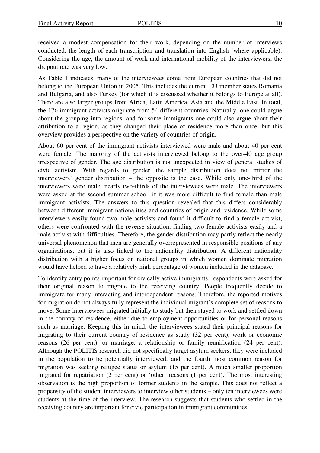received a modest compensation for their work, depending on the number of interviews conducted, the length of each transcription and translation into English (where applicable). Considering the age, the amount of work and international mobility of the interviewers, the dropout rate was very low.

As Table 1 indicates, many of the interviewees come from European countries that did not belong to the European Union in 2005. This includes the current EU member states Romania and Bulgaria, and also Turkey (for which it is discussed whether it belongs to Europe at all). There are also larger groups from Africa, Latin America, Asia and the Middle East. In total, the 176 immigrant activists originate from 54 different countries. Naturally, one could argue about the grouping into regions, and for some immigrants one could also argue about their attribution to a region, as they changed their place of residence more than once, but this overview provides a perspective on the variety of countries of origin.

About 60 per cent of the immigrant activists interviewed were male and about 40 per cent were female. The majority of the activists interviewed belong to the over-40 age group irrespective of gender. The age distribution is not unexpected in view of general studies of civic activism. With regards to gender, the sample distribution does not mirror the interviewers' gender distribution – the opposite is the case. While only one-third of the interviewers were male, nearly two-thirds of the interviewees were male. The interviewers were asked at the second summer school, if it was more difficult to find female than male immigrant activists. The answers to this question revealed that this differs considerably between different immigrant nationalities and countries of origin and residence. While some interviewers easily found two male activists and found it difficult to find a female activist, others were confronted with the reverse situation, finding two female activists easily and a male activist with difficulties. Therefore, the gender distribution may partly reflect the nearly universal phenomenon that men are generally overrepresented in responsible positions of any organisations, but it is also linked to the nationality distribution. A different nationality distribution with a higher focus on national groups in which women dominate migration would have helped to have a relatively high percentage of women included in the database.

To identify entry points important for civically active immigrants, respondents were asked for their original reason to migrate to the receiving country. People frequently decide to immigrate for many interacting and interdependent reasons. Therefore, the reported motives for migration do not always fully represent the individual migrant's complete set of reasons to move. Some interviewees migrated initially to study but then stayed to work and settled down in the country of residence, either due to employment opportunities or for personal reasons such as marriage. Keeping this in mind, the interviewees stated their principal reasons for migrating to their current country of residence as study (32 per cent), work or economic reasons (26 per cent), or marriage, a relationship or family reunification (24 per cent). Although the POLITIS research did not specifically target asylum seekers, they were included in the population to be potentially interviewed, and the fourth most common reason for migration was seeking refugee status or asylum (15 per cent). A much smaller proportion migrated for repatriation (2 per cent) or 'other' reasons (1 per cent). The most interesting observation is the high proportion of former students in the sample. This does not reflect a propensity of the student interviewers to interview other students – only ten interviewees were students at the time of the interview. The research suggests that students who settled in the receiving country are important for civic participation in immigrant communities.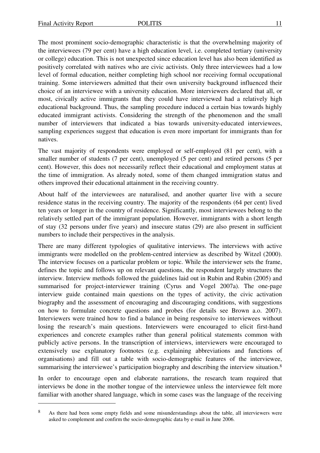The most prominent socio-demographic characteristic is that the overwhelming majority of the interviewees (79 per cent) have a high education level, i.e. completed tertiary (university or college) education. This is not unexpected since education level has also been identified as positively correlated with natives who are civic activists. Only three interviewees had a low level of formal education, neither completing high school nor receiving formal occupational training. Some interviewers admitted that their own university background influenced their choice of an interviewee with a university education. More interviewers declared that all, or most, civically active immigrants that they could have interviewed had a relatively high educational background. Thus, the sampling procedure induced a certain bias towards highly educated immigrant activists. Considering the strength of the phenomenon and the small number of interviewers that indicated a bias towards university-educated interviewees, sampling experiences suggest that education is even more important for immigrants than for natives.

The vast majority of respondents were employed or self-employed (81 per cent), with a smaller number of students (7 per cent), unemployed (5 per cent) and retired persons (5 per cent). However, this does not necessarily reflect their educational and employment status at the time of immigration. As already noted, some of them changed immigration status and others improved their educational attainment in the receiving country.

About half of the interviewees are naturalised, and another quarter live with a secure residence status in the receiving country. The majority of the respondents (64 per cent) lived ten years or longer in the country of residence. Significantly, most interviewees belong to the relatively settled part of the immigrant population. However, immigrants with a short length of stay (32 persons under five years) and insecure status (29) are also present in sufficient numbers to include their perspectives in the analysis.

There are many different typologies of qualitative interviews. The interviews with active immigrants were modelled on the problem-centred interview as described by Witzel (2000). The interview focuses on a particular problem or topic. While the interviewer sets the frame, defines the topic and follows up on relevant questions, the respondent largely structures the interview. Interview methods followed the guidelines laid out in Rubin and Rubin (2005) and summarised for project-interviewer training (Cyrus and Vogel 2007a). The one-page interview guide contained main questions on the types of activity, the civic activation biography and the assessment of encouraging and discouraging conditions, with suggestions on how to formulate concrete questions and probes (for details see Brown a.o. 2007). Interviewers were trained how to find a balance in being responsive to interviewees without losing the research's main questions. Interviewers were encouraged to elicit first-hand experiences and concrete examples rather than general political statements common with publicly active persons. In the transcription of interviews, interviewers were encouraged to extensively use explanatory footnotes (e.g. explaining abbreviations and functions of organisations) and fill out a table with socio-demographic features of the interviewee, summarising the interviewee's participation biography and describing the interview situation.<sup>8</sup>

In order to encourage open and elaborate narrations, the research team required that interviews be done in the mother tongue of the interviewee unless the interviewee felt more familiar with another shared language, which in some cases was the language of the receiving

<sup>8</sup> As there had been some empty fields and some misunderstandings about the table, all interviewers were asked to complement and confirm the socio-demographic data by e-mail in June 2006.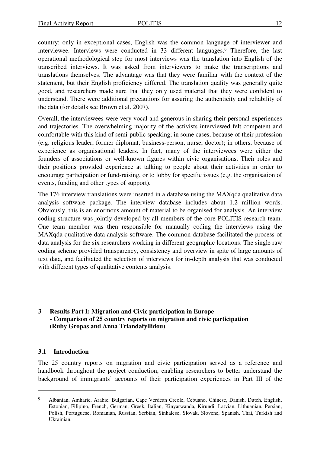country; only in exceptional cases, English was the common language of interviewer and interviewee. Interviews were conducted in 33 different languages.9 Therefore, the last operational methodological step for most interviews was the translation into English of the transcribed interviews. It was asked from interviewers to make the transcriptions and translations themselves. The advantage was that they were familiar with the context of the statement, but their English proficiency differed. The translation quality was generally quite good, and researchers made sure that they only used material that they were confident to understand. There were additional precautions for assuring the authenticity and reliability of the data (for details see Brown et al. 2007).

Overall, the interviewees were very vocal and generous in sharing their personal experiences and trajectories. The overwhelming majority of the activists interviewed felt competent and comfortable with this kind of semi-public speaking; in some cases, because of their profession (e.g. religious leader, former diplomat, business-person, nurse, doctor); in others, because of experience as organisational leaders. In fact, many of the interviewees were either the founders of associations or well-known figures within civic organisations. Their roles and their positions provided experience at talking to people about their activities in order to encourage participation or fund-raising, or to lobby for specific issues (e.g. the organisation of events, funding and other types of support).

The 176 interview translations were inserted in a database using the MAXqda qualitative data analysis software package. The interview database includes about 1.2 million words. Obviously, this is an enormous amount of material to be organised for analysis. An interview coding structure was jointly developed by all members of the core POLITIS research team. One team member was then responsible for manually coding the interviews using the MAXqda qualitative data analysis software. The common database facilitated the process of data analysis for the six researchers working in different geographic locations. The single raw coding scheme provided transparency, consistency and overview in spite of large amounts of text data, and facilitated the selection of interviews for in-depth analysis that was conducted with different types of qualitative contents analysis.

#### **3 Results Part I: Migration and Civic participation in Europe - Comparison of 25 country reports on migration and civic participation (Ruby Gropas and Anna Triandafyllidou)**

#### **3.1 Introduction**

 $\overline{a}$ 

The 25 country reports on migration and civic participation served as a reference and handbook throughout the project conduction, enabling researchers to better understand the background of immigrants' accounts of their participation experiences in Part III of the

<sup>9</sup> Albanian, Amharic, Arabic, Bulgarian, Cape Verdean Creole, Cebuano, Chinese, Danish, Dutch, English, Estonian, Filipino, French, German, Greek, Italian, Kinyarwanda, Kirundi, Latvian, Lithuanian, Persian, Polish, Portuguese, Romanian, Russian, Serbian, Sinhalese, Slovak, Slovene, Spanish, Thai, Turkish and Ukrainian.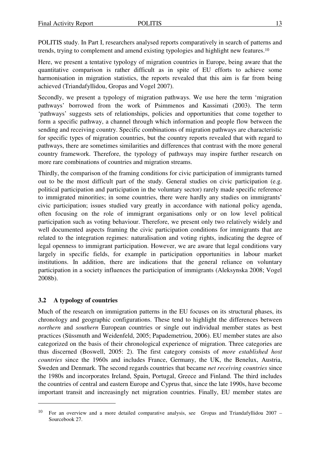POLITIS study. In Part I, researchers analysed reports comparatively in search of patterns and trends, trying to complement and amend existing typologies and highlight new features.<sup>10</sup>

Here, we present a tentative typology of migration countries in Europe, being aware that the quantitative comparison is rather difficult as in spite of EU efforts to achieve some harmonisation in migration statistics, the reports revealed that this aim is far from being achieved (Triandafyllidou, Gropas and Vogel 2007).

Secondly, we present a typology of migration pathways. We use here the term 'migration pathways' borrowed from the work of Psimmenos and Kassimati (2003). The term 'pathways' suggests sets of relationships, policies and opportunities that come together to form a specific pathway, a channel through which information and people flow between the sending and receiving country. Specific combinations of migration pathways are characteristic for specific types of migration countries, but the country reports revealed that with regard to pathways, there are sometimes similarities and differences that contrast with the more general country framework. Therefore, the typology of pathways may inspire further research on more rare combinations of countries and migration streams.

Thirdly, the comparison of the framing conditions for civic participation of immigrants turned out to be the most difficult part of the study. General studies on civic participation (e.g. political participation and participation in the voluntary sector) rarely made specific reference to immigrated minorities; in some countries, there were hardly any studies on immigrants' civic participation; issues studied vary greatly in accordance with national policy agenda, often focusing on the role of immigrant organisations only or on low level political participation such as voting behaviour. Therefore, we present only two relatively widely and well documented aspects framing the civic participation conditions for immigrants that are related to the integration regimes: naturalisation and voting rights, indicating the degree of legal openness to immigrant participation. However, we are aware that legal conditions vary largely in specific fields, for example in participation opportunities in labour market institutions. In addition, there are indications that the general reliance on voluntary participation in a society influences the participation of immigrants (Aleksynska 2008; Vogel 2008b).

## **3.2 A typology of countries**

 $\overline{a}$ 

Much of the research on immigration patterns in the EU focuses on its structural phases, its chronology and geographic configurations. These tend to highlight the differences between *northern* and *southern* European countries or single out individual member states as best practices (Süssmuth and Weidenfeld, 2005; Papademetriou, 2006). EU member states are also categorized on the basis of their chronological experience of migration. Three categories are thus discerned (Boswell, 2005: 2). The first category consists of *more established host countries* since the 1960s and includes France, Germany, the UK, the Benelux, Austria, Sweden and Denmark. The second regards countries that became *net receiving countries* since the 1980s and incorporates Ireland, Spain, Portugal, Greece and Finland. The third includes the countries of central and eastern Europe and Cyprus that, since the late 1990s, have become important transit and increasingly net migration countries. Finally, EU member states are

<sup>&</sup>lt;sup>10</sup> For an overview and a more detailed comparative analysis, see Gropas and Triandafyllidou  $2007 -$ Sourcebook 27.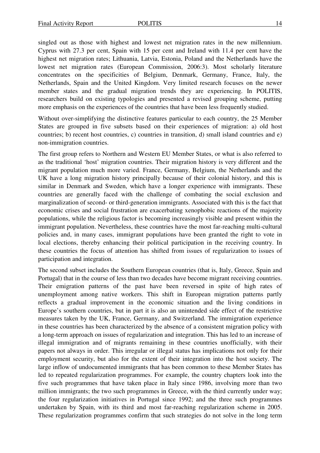singled out as those with highest and lowest net migration rates in the new millennium. Cyprus with 27.3 per cent, Spain with 15 per cent and Ireland with 11.4 per cent have the highest net migration rates; Lithuania, Latvia, Estonia, Poland and the Netherlands have the lowest net migration rates (European Commission, 2006:3). Most scholarly literature concentrates on the specificities of Belgium, Denmark, Germany, France, Italy, the Netherlands, Spain and the United Kingdom. Very limited research focuses on the newer member states and the gradual migration trends they are experiencing. In POLITIS, researchers build on existing typologies and presented a revised grouping scheme, putting more emphasis on the experiences of the countries that have been less frequently studied.

Without over-simplifying the distinctive features particular to each country, the 25 Member States are grouped in five subsets based on their experiences of migration: a) old host countries; b) recent host countries, c) countries in transition, d) small island countries and e) non-immigration countries.

The first group refers to Northern and Western EU Member States, or what is also referred to as the traditional 'host' migration countries. Their migration history is very different and the migrant population much more varied. France, Germany, Belgium, the Netherlands and the UK have a long migration history principally because of their colonial history, and this is similar in Denmark and Sweden, which have a longer experience with immigrants. These countries are generally faced with the challenge of combating the social exclusion and marginalization of second- or third-generation immigrants. Associated with this is the fact that economic crises and social frustration are exacerbating xenophobic reactions of the majority populations, while the religious factor is becoming increasingly visible and present within the immigrant population. Nevertheless, these countries have the most far-reaching multi-cultural policies and, in many cases, immigrant populations have been granted the right to vote in local elections, thereby enhancing their political participation in the receiving country. In these countries the focus of attention has shifted from issues of regularization to issues of participation and integration.

The second subset includes the Southern European countries (that is, Italy, Greece, Spain and Portugal) that in the course of less than two decades have become migrant receiving countries. Their emigration patterns of the past have been reversed in spite of high rates of unemployment among native workers. This shift in European migration patterns partly reflects a gradual improvement in the economic situation and the living conditions in Europe's southern countries, but in part it is also an unintended side effect of the restrictive measures taken by the UK, France, Germany, and Switzerland. The immigration experience in these countries has been characterized by the absence of a consistent migration policy with a long-term approach on issues of regularization and integration. This has led to an increase of illegal immigration and of migrants remaining in these countries unofficially, with their papers not always in order. This irregular or illegal status has implications not only for their employment security, but also for the extent of their integration into the host society. The large inflow of undocumented immigrants that has been common to these Member States has led to repeated regularization programmes. For example, the country chapters look into the five such programmes that have taken place in Italy since 1986, involving more than two million immigrants; the two such programmes in Greece, with the third currently under way; the four regularization initiatives in Portugal since 1992; and the three such programmes undertaken by Spain, with its third and most far-reaching regularization scheme in 2005. These regularization programmes confirm that such strategies do not solve in the long term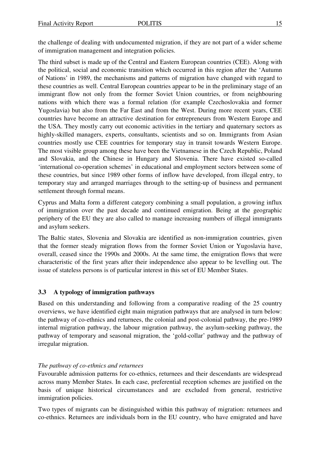the challenge of dealing with undocumented migration, if they are not part of a wider scheme of immigration management and integration policies.

The third subset is made up of the Central and Eastern European countries (CEE). Along with the political, social and economic transition which occurred in this region after the 'Autumn of Nations' in 1989, the mechanisms and patterns of migration have changed with regard to these countries as well. Central European countries appear to be in the preliminary stage of an immigrant flow not only from the former Soviet Union countries, or from neighbouring nations with which there was a formal relation (for example Czechoslovakia and former Yugoslavia) but also from the Far East and from the West. During more recent years, CEE countries have become an attractive destination for entrepreneurs from Western Europe and the USA. They mostly carry out economic activities in the tertiary and quaternary sectors as highly-skilled managers, experts, consultants, scientists and so on. Immigrants from Asian countries mostly use CEE countries for temporary stay in transit towards Western Europe. The most visible group among these have been the Vietnamese in the Czech Republic, Poland and Slovakia, and the Chinese in Hungary and Slovenia. There have existed so-called 'international co-operation schemes' in educational and employment sectors between some of these countries, but since 1989 other forms of inflow have developed, from illegal entry, to temporary stay and arranged marriages through to the setting-up of business and permanent settlement through formal means.

Cyprus and Malta form a different category combining a small population, a growing influx of immigration over the past decade and continued emigration. Being at the geographic periphery of the EU they are also called to manage increasing numbers of illegal immigrants and asylum seekers.

The Baltic states, Slovenia and Slovakia are identified as non-immigration countries, given that the former steady migration flows from the former Soviet Union or Yugoslavia have, overall, ceased since the 1990s and 2000s. At the same time, the emigration flows that were characteristic of the first years after their independence also appear to be levelling out. The issue of stateless persons is of particular interest in this set of EU Member States.

## **3.3 A typology of immigration pathways**

Based on this understanding and following from a comparative reading of the 25 country overviews, we have identified eight main migration pathways that are analysed in turn below: the pathway of co-ethnics and returnees, the colonial and post-colonial pathway, the pre-1989 internal migration pathway, the labour migration pathway, the asylum-seeking pathway, the pathway of temporary and seasonal migration, the 'gold-collar' pathway and the pathway of irregular migration.

## *The pathway of co-ethnics and returnees*

Favourable admission patterns for co-ethnics, returnees and their descendants are widespread across many Member States. In each case, preferential reception schemes are justified on the basis of unique historical circumstances and are excluded from general, restrictive immigration policies.

Two types of migrants can be distinguished within this pathway of migration: returnees and co-ethnics. Returnees are individuals born in the EU country, who have emigrated and have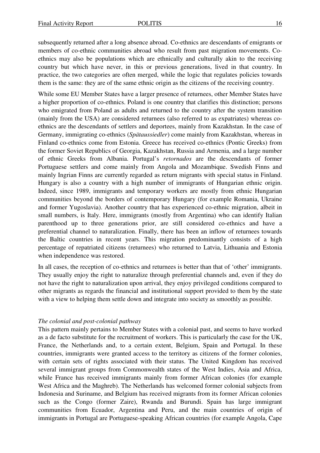subsequently returned after a long absence abroad. Co-ethnics are descendants of emigrants or members of co-ethnic communities abroad who result from past migration movements. Coethnics may also be populations which are ethnically and culturally akin to the receiving country but which have never, in this or previous generations, lived in that country. In practice, the two categories are often merged, while the logic that regulates policies towards them is the same: they are of the same ethnic origin as the citizens of the receiving country.

While some EU Member States have a larger presence of returnees, other Member States have a higher proportion of co-ethnics. Poland is one country that clarifies this distinction; persons who emigrated from Poland as adults and returned to the country after the system transition (mainly from the USA) are considered returnees (also referred to as expatriates) whereas coethnics are the descendants of settlers and deportees, mainly from Kazakhstan. In the case of Germany, immigrating co-ethnics (*Spätaussiedler*) come mainly from Kazakhstan, whereas in Finland co-ethnics come from Estonia. Greece has received co-ethnics (Pontic Greeks) from the former Soviet Republics of Georgia, Kazakhstan, Russia and Armenia, and a large number of ethnic Greeks from Albania. Portugal's *retornados* are the descendants of former Portuguese settlers and come mainly from Angola and Mozambique. Swedish Finns and mainly Ingrian Finns are currently regarded as return migrants with special status in Finland. Hungary is also a country with a high number of immigrants of Hungarian ethnic origin. Indeed, since 1989, immigrants and temporary workers are mostly from ethnic Hungarian communities beyond the borders of contemporary Hungary (for example Romania, Ukraine and former Yugoslavia). Another country that has experienced co-ethnic migration, albeit in small numbers, is Italy. Here, immigrants (mostly from Argentina) who can identify Italian parenthood up to three generations prior, are still considered co-ethnics and have a preferential channel to naturalization. Finally, there has been an inflow of returnees towards the Baltic countries in recent years. This migration predominantly consists of a high percentage of repatriated citizens (returnees) who returned to Latvia, Lithuania and Estonia when independence was restored.

In all cases, the reception of co-ethnics and returnees is better than that of 'other' immigrants. They usually enjoy the right to naturalize through preferential channels and, even if they do not have the right to naturalization upon arrival, they enjoy privileged conditions compared to other migrants as regards the financial and institutional support provided to them by the state with a view to helping them settle down and integrate into society as smoothly as possible.

#### *The colonial and post-colonial pathway*

This pattern mainly pertains to Member States with a colonial past, and seems to have worked as a de facto substitute for the recruitment of workers. This is particularly the case for the UK, France, the Netherlands and, to a certain extent, Belgium, Spain and Portugal. In these countries, immigrants were granted access to the territory as citizens of the former colonies, with certain sets of rights associated with their status. The United Kingdom has received several immigrant groups from Commonwealth states of the West Indies, Asia and Africa, while France has received immigrants mainly from former African colonies (for example West Africa and the Maghreb). The Netherlands has welcomed former colonial subjects from Indonesia and Suriname, and Belgium has received migrants from its former African colonies such as the Congo (former Zaire), Rwanda and Burundi. Spain has large immigrant communities from Ecuador, Argentina and Peru, and the main countries of origin of immigrants in Portugal are Portuguese-speaking African countries (for example Angola, Cape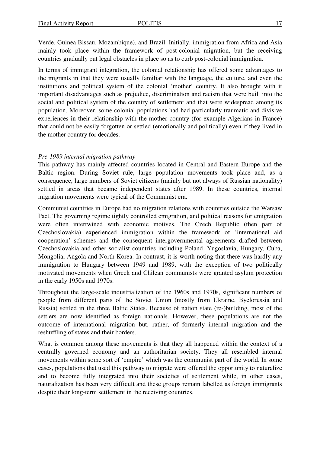Verde, Guinea Bissau, Mozambique), and Brazil. Initially, immigration from Africa and Asia mainly took place within the framework of post-colonial migration, but the receiving countries gradually put legal obstacles in place so as to curb post-colonial immigration.

In terms of immigrant integration, the colonial relationship has offered some advantages to the migrants in that they were usually familiar with the language, the culture, and even the institutions and political system of the colonial 'mother' country. It also brought with it important disadvantages such as prejudice, discrimination and racism that were built into the social and political system of the country of settlement and that were widespread among its population. Moreover, some colonial populations had had particularly traumatic and divisive experiences in their relationship with the mother country (for example Algerians in France) that could not be easily forgotten or settled (emotionally and politically) even if they lived in the mother country for decades.

## *Pre-1989 internal migration pathway*

This pathway has mainly affected countries located in Central and Eastern Europe and the Baltic region. During Soviet rule, large population movements took place and, as a consequence, large numbers of Soviet citizens (mainly but not always of Russian nationality) settled in areas that became independent states after 1989. In these countries, internal migration movements were typical of the Communist era.

Communist countries in Europe had no migration relations with countries outside the Warsaw Pact. The governing regime tightly controlled emigration, and political reasons for emigration were often intertwined with economic motives. The Czech Republic (then part of Czechoslovakia) experienced immigration within the framework of 'international aid cooperation' schemes and the consequent intergovernmental agreements drafted between Czechoslovakia and other socialist countries including Poland, Yugoslavia, Hungary, Cuba, Mongolia, Angola and North Korea. In contrast, it is worth noting that there was hardly any immigration to Hungary between 1949 and 1989, with the exception of two politically motivated movements when Greek and Chilean communists were granted asylum protection in the early 1950s and 1970s.

Throughout the large-scale industrialization of the 1960s and 1970s, significant numbers of people from different parts of the Soviet Union (mostly from Ukraine, Byelorussia and Russia) settled in the three Baltic States. Because of nation state (re-)building, most of the settlers are now identified as foreign nationals. However, these populations are not the outcome of international migration but, rather, of formerly internal migration and the reshuffling of states and their borders.

What is common among these movements is that they all happened within the context of a centrally governed economy and an authoritarian society. They all resembled internal movements within some sort of 'empire' which was the communist part of the world. In some cases, populations that used this pathway to migrate were offered the opportunity to naturalize and to become fully integrated into their societies of settlement while, in other cases, naturalization has been very difficult and these groups remain labelled as foreign immigrants despite their long-term settlement in the receiving countries.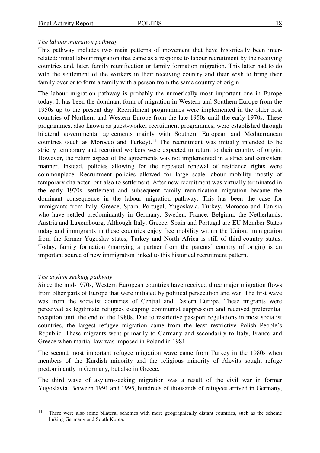### *The labour migration pathway*

This pathway includes two main patterns of movement that have historically been interrelated: initial labour migration that came as a response to labour recruitment by the receiving countries and, later, family reunification or family formation migration. This latter had to do with the settlement of the workers in their receiving country and their wish to bring their family over or to form a family with a person from the same country of origin.

The labour migration pathway is probably the numerically most important one in Europe today. It has been the dominant form of migration in Western and Southern Europe from the 1950s up to the present day. Recruitment programmes were implemented in the older host countries of Northern and Western Europe from the late 1950s until the early 1970s. These programmes, also known as guest-worker recruitment programmes, were established through bilateral governmental agreements mainly with Southern European and Mediterranean countries (such as Morocco and Turkey).11 The recruitment was initially intended to be strictly temporary and recruited workers were expected to return to their country of origin. However, the return aspect of the agreements was not implemented in a strict and consistent manner. Instead, policies allowing for the repeated renewal of residence rights were commonplace. Recruitment policies allowed for large scale labour mobility mostly of temporary character, but also to settlement. After new recruitment was virtually terminated in the early 1970s, settlement and subsequent family reunification migration became the dominant consequence in the labour migration pathway. This has been the case for immigrants from Italy, Greece, Spain, Portugal, Yugoslavia, Turkey, Morocco and Tunisia who have settled predominantly in Germany, Sweden, France, Belgium, the Netherlands, Austria and Luxembourg. Although Italy, Greece, Spain and Portugal are EU Member States today and immigrants in these countries enjoy free mobility within the Union, immigration from the former Yugoslav states, Turkey and North Africa is still of third-country status. Today, family formation (marrying a partner from the parents' country of origin) is an important source of new immigration linked to this historical recruitment pattern.

#### *The asylum seeking pathway*

 $\overline{a}$ 

Since the mid-1970s, Western European countries have received three major migration flows from other parts of Europe that were initiated by political persecution and war. The first wave was from the socialist countries of Central and Eastern Europe. These migrants were perceived as legitimate refugees escaping communist suppression and received preferential reception until the end of the 1980s. Due to restrictive passport regulations in most socialist countries, the largest refugee migration came from the least restrictive Polish People's Republic. These migrants went primarily to Germany and secondarily to Italy, France and Greece when martial law was imposed in Poland in 1981.

The second most important refugee migration wave came from Turkey in the 1980s when members of the Kurdish minority and the religious minority of Alevits sought refuge predominantly in Germany, but also in Greece.

The third wave of asylum-seeking migration was a result of the civil war in former Yugoslavia. Between 1991 and 1995, hundreds of thousands of refugees arrived in Germany,

<sup>&</sup>lt;sup>11</sup> There were also some bilateral schemes with more geographically distant countries, such as the scheme linking Germany and South Korea.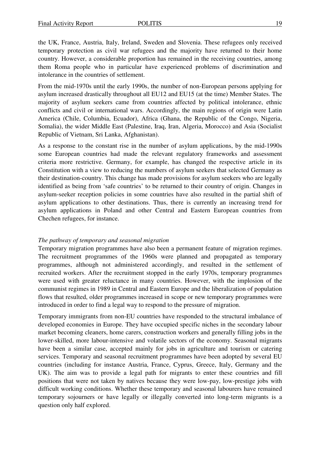the UK, France, Austria, Italy, Ireland, Sweden and Slovenia. These refugees only received temporary protection as civil war refugees and the majority have returned to their home country. However, a considerable proportion has remained in the receiving countries, among them Roma people who in particular have experienced problems of discrimination and intolerance in the countries of settlement.

From the mid-1970s until the early 1990s, the number of non-European persons applying for asylum increased drastically throughout all EU12 and EU15 (at the time) Member States. The majority of asylum seekers came from countries affected by political intolerance, ethnic conflicts and civil or international wars. Accordingly, the main regions of origin were Latin America (Chile, Columbia, Ecuador), Africa (Ghana, the Republic of the Congo, Nigeria, Somalia), the wider Middle East (Palestine, Iraq, Iran, Algeria, Morocco) and Asia (Socialist Republic of Vietnam, Sri Lanka, Afghanistan).

As a response to the constant rise in the number of asylum applications, by the mid-1990s some European countries had made the relevant regulatory frameworks and assessment criteria more restrictive. Germany, for example, has changed the respective article in its Constitution with a view to reducing the numbers of asylum seekers that selected Germany as their destination-country. This change has made provisions for asylum seekers who are legally identified as being from 'safe countries' to be returned to their country of origin. Changes in asylum-seeker reception policies in some countries have also resulted in the partial shift of asylum applications to other destinations. Thus, there is currently an increasing trend for asylum applications in Poland and other Central and Eastern European countries from Chechen refugees, for instance.

#### *The pathway of temporary and seasonal migration*

Temporary migration programmes have also been a permanent feature of migration regimes. The recruitment programmes of the 1960s were planned and propagated as temporary programmes, although not administered accordingly, and resulted in the settlement of recruited workers. After the recruitment stopped in the early 1970s, temporary programmes were used with greater reluctance in many countries. However, with the implosion of the communist regimes in 1989 in Central and Eastern Europe and the liberalization of population flows that resulted, older programmes increased in scope or new temporary programmes were introduced in order to find a legal way to respond to the pressure of migration.

Temporary immigrants from non-EU countries have responded to the structural imbalance of developed economies in Europe. They have occupied specific niches in the secondary labour market becoming cleaners, home carers, construction workers and generally filling jobs in the lower-skilled, more labour-intensive and volatile sectors of the economy. Seasonal migrants have been a similar case, accepted mainly for jobs in agriculture and tourism or catering services. Temporary and seasonal recruitment programmes have been adopted by several EU countries (including for instance Austria, France, Cyprus, Greece, Italy, Germany and the UK). The aim was to provide a legal path for migrants to enter these countries and fill positions that were not taken by natives because they were low-pay, low-prestige jobs with difficult working conditions. Whether these temporary and seasonal labourers have remained temporary sojourners or have legally or illegally converted into long-term migrants is a question only half explored.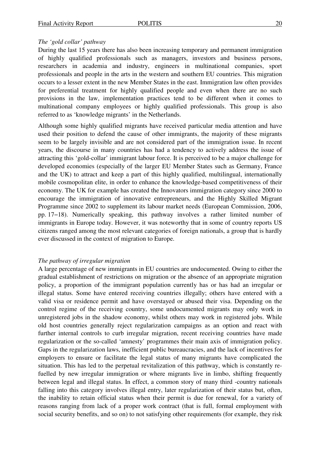#### *The 'gold collar' pathway*

During the last 15 years there has also been increasing temporary and permanent immigration of highly qualified professionals such as managers, investors and business persons, researchers in academia and industry, engineers in multinational companies, sport professionals and people in the arts in the western and southern EU countries. This migration occurs to a lesser extent in the new Member States in the east. Immigration law often provides for preferential treatment for highly qualified people and even when there are no such provisions in the law, implementation practices tend to be different when it comes to multinational company employees or highly qualified professionals. This group is also referred to as 'knowledge migrants' in the Netherlands.

Although some highly qualified migrants have received particular media attention and have used their position to defend the cause of other immigrants, the majority of these migrants seem to be largely invisible and are not considered part of the immigration issue. In recent years, the discourse in many countries has had a tendency to actively address the issue of attracting this 'gold-collar' immigrant labour force. It is perceived to be a major challenge for developed economies (especially of the larger EU Member States such as Germany, France and the UK) to attract and keep a part of this highly qualified, multilingual, internationally mobile cosmopolitan elite, in order to enhance the knowledge-based competitiveness of their economy. The UK for example has created the Innovators immigration category since 2000 to encourage the immigration of innovative entrepreneurs, and the Highly Skilled Migrant Programme since 2002 to supplement its labour market needs (European Commission, 2006, pp. 17−18). Numerically speaking, this pathway involves a rather limited number of immigrants in Europe today. However, it was noteworthy that in some of country reports US citizens ranged among the most relevant categories of foreign nationals, a group that is hardly ever discussed in the context of migration to Europe.

#### *The pathway of irregular migration*

A large percentage of new immigrants in EU countries are undocumented. Owing to either the gradual establishment of restrictions on migration or the absence of an appropriate migration policy, a proportion of the immigrant population currently has or has had an irregular or illegal status. Some have entered receiving countries illegally; others have entered with a valid visa or residence permit and have overstayed or abused their visa. Depending on the control regime of the receiving country, some undocumented migrants may only work in unregistered jobs in the shadow economy, whilst others may work in registered jobs. While old host countries generally reject regularization campaigns as an option and react with further internal controls to curb irregular migration, recent receiving countries have made regularization or the so-called 'amnesty' programmes their main axis of immigration policy. Gaps in the regularization laws, inefficient public bureaucracies, and the lack of incentives for employers to ensure or facilitate the legal status of many migrants have complicated the situation. This has led to the perpetual revitalization of this pathway, which is constantly refuelled by new irregular immigration or where migrants live in limbo, shifting frequently between legal and illegal status. In effect, a common story of many third -country nationals falling into this category involves illegal entry, later regularization of their status but, often, the inability to retain official status when their permit is due for renewal, for a variety of reasons ranging from lack of a proper work contract (that is full, formal employment with social security benefits, and so on) to not satisfying other requirements (for example, they risk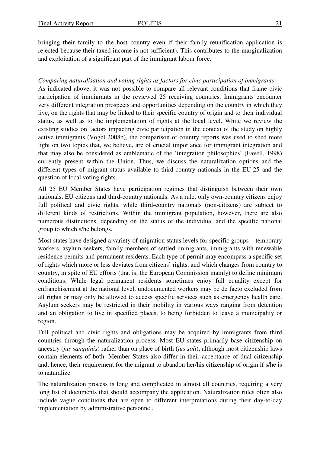bringing their family to the host country even if their family reunification application is rejected because their taxed income is not sufficient). This contributes to the marginalization and exploitation of a significant part of the immigrant labour force.

## *Comparing naturalisation and voting rights as factors for civic participation of immigrants*

As indicated above, it was not possible to compare all relevant conditions that frame civic participation of immigrants in the reviewed 25 receiving countries. Immigrants encounter very different integration prospects and opportunities depending on the country in which they live, on the rights that may be linked to their specific country of origin and to their individual status, as well as to the implementation of rights at the local level. While we review the existing studies on factors impacting civic participation in the context of the study on highly active immigrants (Vogel 2008b), the comparison of country reports was used to shed more light on two topics that, we believe, are of crucial importance for immigrant integration and that may also be considered as emblematic of the 'integration philosophies' (Favell, 1998) currently present within the Union. Thus, we discuss the naturalization options and the different types of migrant status available to third-country nationals in the EU-25 and the question of local voting rights.

All 25 EU Member States have participation regimes that distinguish between their own nationals, EU citizens and third-country nationals. As a rule, only own-country citizens enjoy full political and civic rights, while third-country nationals (non-citizens) are subject to different kinds of restrictions. Within the immigrant population, however, there are also numerous distinctions, depending on the status of the individual and the specific national group to which s/he belongs.

Most states have designed a variety of migration status levels for specific groups – temporary workers, asylum seekers, family members of settled immigrants, immigrants with renewable residence permits and permanent residents. Each type of permit may encompass a specific set of rights which more or less deviates from citizens' rights, and which changes from country to country, in spite of EU efforts (that is, the European Commission mainly) to define minimum conditions. While legal permanent residents sometimes enjoy full equality except for enfranchisement at the national level, undocumented workers may be de facto excluded from all rights or may only be allowed to access specific services such as emergency health care. Asylum seekers may be restricted in their mobility in various ways ranging from detention and an obligation to live in specified places, to being forbidden to leave a municipality or region.

Full political and civic rights and obligations may be acquired by immigrants from third countries through the naturalization process. Most EU states primarily base citizenship on ancestry (*jus sanguinis*) rather than on place of birth (*jus soli*), although most citizenship laws contain elements of both. Member States also differ in their acceptance of dual citizenship and, hence, their requirement for the migrant to abandon her/his citizenship of origin if s/he is to naturalize.

The naturalization process is long and complicated in almost all countries, requiring a very long list of documents that should accompany the application. Naturalization rules often also include vague conditions that are open to different interpretations during their day-to-day implementation by administrative personnel.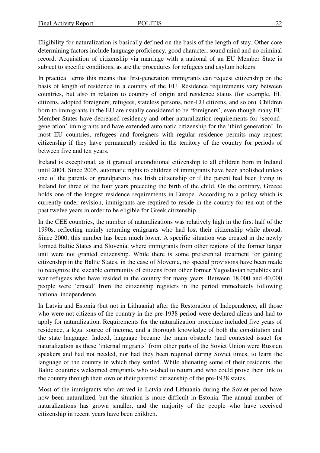Eligibility for naturalization is basically defined on the basis of the length of stay. Other core determining factors include language proficiency, good character, sound mind and no criminal record. Acquisition of citizenship via marriage with a national of an EU Member State is subject to specific conditions, as are the procedures for refugees and asylum holders.

In practical terms this means that first-generation immigrants can request citizenship on the basis of length of residence in a country of the EU. Residence requirements vary between countries, but also in relation to country of origin and residence status (for example, EU citizens, adopted foreigners, refugees, stateless persons, non-EU citizens, and so on). Children born to immigrants in the EU are usually considered to be 'foreigners', even though many EU Member States have decreased residency and other naturalization requirements for 'secondgeneration' immigrants and have extended automatic citizenship for the 'third generation'. In most EU countries, refugees and foreigners with regular residence permits may request citizenship if they have permanently resided in the territory of the country for periods of between five and ten years.

Ireland is exceptional, as it granted unconditional citizenship to all children born in Ireland until 2004. Since 2005, automatic rights to children of immigrants have been abolished unless one of the parents or grandparents has Irish citizenship or if the parent had been living in Ireland for three of the four years preceding the birth of the child. On the contrary, Greece holds one of the longest residence requirements in Europe. According to a policy which is currently under revision, immigrants are required to reside in the country for ten out of the past twelve years in order to be eligible for Greek citizenship.

In the CEE countries, the number of naturalizations was relatively high in the first half of the 1990s, reflecting mainly returning emigrants who had lost their citizenship while abroad. Since 2000, this number has been much lower. A specific situation was created in the newly formed Baltic States and Slovenia, where immigrants from other regions of the former larger unit were not granted citizenship. While there is some preferential treatment for gaining citizenship in the Baltic States, in the case of Slovenia, no special provisions have been made to recognize the sizeable community of citizens from other former Yugoslavian republics and war refugees who have resided in the country for many years. Between 18,000 and 40,000 people were 'erased' from the citizenship registers in the period immediately following national independence.

In Latvia and Estonia (but not in Lithuania) after the Restoration of Independence, all those who were not citizens of the country in the pre-1938 period were declared aliens and had to apply for naturalization. Requirements for the naturalization procedure included five years of residence, a legal source of income, and a thorough knowledge of both the constitution and the state language. Indeed, language became the main obstacle (and contested issue) for naturalization as these 'internal migrants' from other parts of the Soviet Union were Russian speakers and had not needed, nor had they been required during Soviet times, to learn the language of the country in which they settled. While alienating some of their residents, the Baltic countries welcomed emigrants who wished to return and who could prove their link to the country through their own or their parents' citizenship of the pre-1938 states.

Most of the immigrants who arrived in Latvia and Lithuania during the Soviet period have now been naturalized, but the situation is more difficult in Estonia. The annual number of naturalizations has grown smaller, and the majority of the people who have received citizenship in recent years have been children.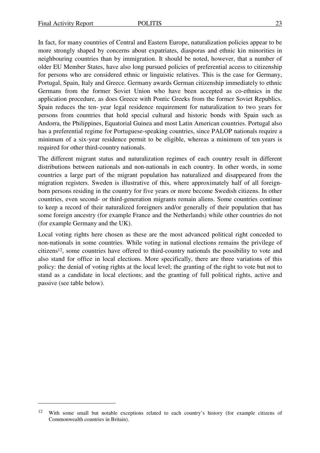In fact, for many countries of Central and Eastern Europe, naturalization policies appear to be more strongly shaped by concerns about expatriates, diasporas and ethnic kin minorities in neighbouring countries than by immigration. It should be noted, however, that a number of older EU Member States, have also long pursued policies of preferential access to citizenship for persons who are considered ethnic or linguistic relatives. This is the case for Germany, Portugal, Spain, Italy and Greece. Germany awards German citizenship immediately to ethnic Germans from the former Soviet Union who have been accepted as co-ethnics in the application procedure, as does Greece with Pontic Greeks from the former Soviet Republics. Spain reduces the ten- year legal residence requirement for naturalization to two years for persons from countries that hold special cultural and historic bonds with Spain such as Andorra, the Philippines, Equatorial Guinea and most Latin American countries. Portugal also has a preferential regime for Portuguese-speaking countries, since PALOP nationals require a minimum of a six-year residence permit to be eligible, whereas a minimum of ten years is required for other third-country nationals.

The different migrant status and naturalization regimes of each country result in different distributions between nationals and non-nationals in each country. In other words, in some countries a large part of the migrant population has naturalized and disappeared from the migration registers. Sweden is illustrative of this, where approximately half of all foreignborn persons residing in the country for five years or more become Swedish citizens. In other countries, even second- or third-generation migrants remain aliens. Some countries continue to keep a record of their naturalized foreigners and/or generally of their population that has some foreign ancestry (for example France and the Netherlands) while other countries do not (for example Germany and the UK).

Local voting rights here chosen as these are the most advanced political right conceded to non-nationals in some countries. While voting in national elections remains the privilege of citizens12, some countries have offered to third-country nationals the possibility to vote and also stand for office in local elections. More specifically, there are three variations of this policy: the denial of voting rights at the local level; the granting of the right to vote but not to stand as a candidate in local elections; and the granting of full political rights, active and passive (see table below).

<sup>&</sup>lt;sup>12</sup> With some small but notable exceptions related to each country's history (for example citizens of Commonwealth countries in Britain).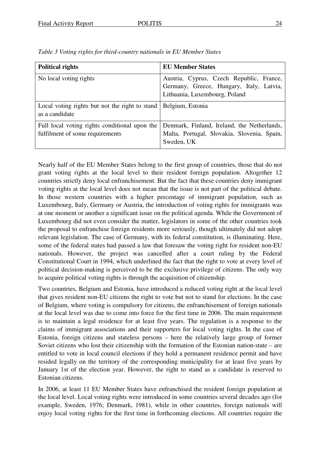| <b>Political rights</b>                                                          | <b>EU Member States</b>                                                                                               |  |
|----------------------------------------------------------------------------------|-----------------------------------------------------------------------------------------------------------------------|--|
| No local voting rights                                                           | Austria, Cyprus, Czech Republic, France,<br>Germany, Greece, Hungary, Italy, Latvia,<br>Lithuania, Luxembourg, Poland |  |
| Local voting rights but not the right to stand<br>as a candidate                 | Belgium, Estonia                                                                                                      |  |
| Full local voting rights conditional upon the<br>fulfilment of some requirements | Denmark, Finland, Ireland, the Netherlands,<br>Malta, Portugal, Slovakia, Slovenia, Spain,<br>Sweden, UK              |  |

|  |  | Table 3 Voting rights for third-country nationals in EU Member States |  |  |
|--|--|-----------------------------------------------------------------------|--|--|
|  |  |                                                                       |  |  |

Nearly half of the EU Member States belong to the first group of countries, those that do not grant voting rights at the local level to their resident foreign population. Altogether 12 countries strictly deny local enfranchisement. But the fact that these countries deny immigrant voting rights at the local level does not mean that the issue is not part of the political debate. In those western countries with a higher percentage of immigrant population, such as Luxembourg, Italy, Germany or Austria, the introduction of voting rights for immigrants was at one moment or another a significant issue on the political agenda. While the Government of Luxembourg did not even consider the matter, legislators in some of the other countries took the proposal to enfranchise foreign residents more seriously, though ultimately did not adopt relevant legislation. The case of Germany, with its federal constitution, is illuminating. Here, some of the federal states had passed a law that foresaw the voting right for resident non-EU nationals. However, the project was cancelled after a court ruling by the Federal Constitutional Court in 1994, which underlined the fact that the right to vote at every level of political decision-making is perceived to be the exclusive privilege of citizens. The only way to acquire political voting rights is through the acquisition of citizenship.

Two countries, Belgium and Estonia, have introduced a reduced voting right at the local level that gives resident non-EU citizens the right to vote but not to stand for elections. In the case of Belgium, where voting is compulsory for citizens, the enfranchisement of foreign nationals at the local level was due to come into force for the first time in 2006. The main requirement is to maintain a legal residence for at least five years. The regulation is a response to the claims of immigrant associations and their supporters for local voting rights. In the case of Estonia, foreign citizens and stateless persons – here the relatively large group of former Soviet citizens who lost their citizenship with the formation of the Estonian nation-state – are entitled to vote in local council elections if they hold a permanent residence permit and have resided legally on the territory of the corresponding municipality for at least five years by January 1st of the election year. However, the right to stand as a candidate is reserved to Estonian citizens.

In 2006, at least 11 EU Member States have enfranchised the resident foreign population at the local level. Local voting rights were introduced in some countries several decades ago (for example, Sweden, 1976; Denmark, 1981), while in other countries, foreign nationals will enjoy local voting rights for the first time in forthcoming elections. All countries require the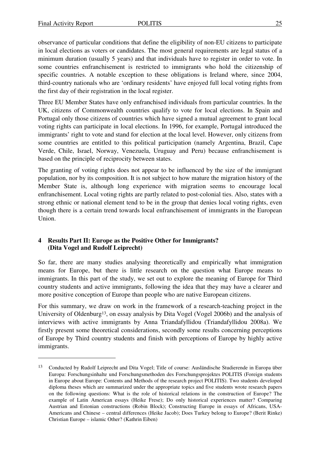observance of particular conditions that define the eligibility of non-EU citizens to participate in local elections as voters or candidates. The most general requirements are legal status of a minimum duration (usually 5 years) and that individuals have to register in order to vote. In some countries enfranchisement is restricted to immigrants who hold the citizenship of specific countries. A notable exception to these obligations is Ireland where, since 2004, third-country nationals who are 'ordinary residents' have enjoyed full local voting rights from the first day of their registration in the local register.

Three EU Member States have only enfranchised individuals from particular countries. In the UK, citizens of Commonwealth countries qualify to vote for local elections. In Spain and Portugal only those citizens of countries which have signed a mutual agreement to grant local voting rights can participate in local elections. In 1996, for example, Portugal introduced the immigrants' right to vote and stand for election at the local level. However, only citizens from some countries are entitled to this political participation (namely Argentina, Brazil, Cape Verde, Chile, Israel, Norway, Venezuela, Uruguay and Peru) because enfranchisement is based on the principle of reciprocity between states.

The granting of voting rights does not appear to be influenced by the size of the immigrant population, nor by its composition. It is not subject to how mature the migration history of the Member State is, although long experience with migration seems to encourage local enfranchisement. Local voting rights are partly related to post-colonial ties. Also, states with a strong ethnic or national element tend to be in the group that denies local voting rights, even though there is a certain trend towards local enfranchisement of immigrants in the European Union.

## **4 Results Part II: Europe as the Positive Other for Immigrants? (Dita Vogel and Rudolf Leiprecht)**

So far, there are many studies analysing theoretically and empirically what immigration means for Europe, but there is little research on the question what Europe means to immigrants. In this part of the study, we set out to explore the meaning of Europe for Third country students and active immigrants, following the idea that they may have a clearer and more positive conception of Europe than people who are native European citizens.

For this summary, we draw on work in the framework of a research-teaching project in the University of Oldenburg13, on essay analysis by Dita Vogel (Vogel 2006b) and the analysis of interviews with active immigrants by Anna Triandafyllidou (Triandafyllidou 2008a). We firstly present some theoretical considerations, secondly some results concerning perceptions of Europe by Third country students and finish with perceptions of Europe by highly active immigrants.

<sup>13</sup> Conducted by Rudolf Leiprecht and Dita Vogel; Title of course: Ausländische Studierende in Europa über Europa: Forschungsinhalte und Forschungsmethoden des Forschungsprojektes POLITIS (Foreign students in Europe about Europe: Contents and Methods of the research project POLITIS). Two students developed diploma theses which are summarized under the appropriate topics and five students wrote research papers on the following questions: What is the role of historical relations in the construction of Europe? The example of Latin American essays (Heike Frese); Do only historical experiences matter? Comparing Austrian and Estonian constructions (Robin Block); Constructing Europe in essays of Africans, USA-Americans and Chinese – central differences (Heike Jacob); Does Turkey belong to Europe? (Berit Rinke) Christian Europe – islamic Other? (Kathrin Eiben)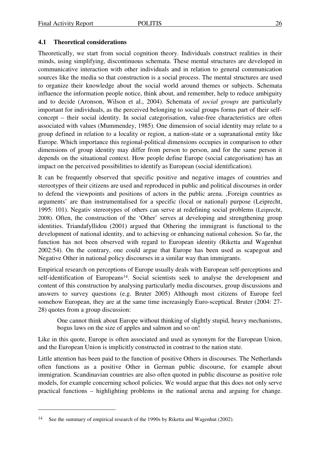## **4.1 Theoretical considerations**

Theoretically, we start from social cognition theory. Individuals construct realities in their minds, using simplifying, discontinuous schemata. These mental structures are developed in communicative interaction with other individuals and in relation to general communication sources like the media so that construction is a social process. The mental structures are used to organize their knowledge about the social world around themes or subjects. Schemata influence the information people notice, think about, and remember, help to reduce ambiguity and to decide (Aronson, Wilson et al., 2004). Schemata of *social groups* are particularly important for individuals, as the perceived belonging to social groups forms part of their selfconcept – their social identity. In social categorisation, value-free characteristics are often associated with values (Mummendey, 1985). One dimension of social identity may relate to a group defined in relation to a locality or region, a nation-state or a supranational entity like Europe. Which importance this regional-political dimensions occupies in comparison to other dimensions of group identity may differ from person to person, and for the same person it depends on the situational context. How people define Europe (social categorisation) has an impact on the perceived possibilities to identify as European (social identification).

It can be frequently observed that specific positive and negative images of countries and stereotypes of their citizens are used and reproduced in public and political discourses in order to defend the viewpoints and positions of actors in the public arena. 'Foreign countries as arguments' are than instrumentalised for a specific (local or national) purpose (Leiprecht, 1995: 101). Negativ stereotypes of others can serve at redefining social problems (Leiprecht, 2008). Often, the construction of the 'Other' serves at developing and strengthening group identities. Triandafyllidou (2001) argued that Othering the immigrant is functional to the development of national identity, and to achieving or enhancing national cohesion. So far, the function has not been observed with regard to European identity (Riketta and Wagenhut 2002:54). On the contrary, one could argue that Europe has been used as scapegoat and Negative Other in national policy discourses in a similar way than immigrants.

Empirical research on perceptions of Europe usually deals with European self-perceptions and self-identification of Europeans<sup>14</sup>. Social scientists seek to analyse the development and content of this construction by analysing particularly media discourses, group discussions and answers to survey questions (e.g. Bruter 2005) Although most citizens of Europe feel somehow European, they are at the same time increasingly Euro-sceptical. Bruter (2004: 27- 28) quotes from a group discussion:

One cannot think about Europe without thinking of slightly stupid, heavy mechanisms, bogus laws on the size of apples and salmon and so on!

Like in this quote, Europe is often associated and used as synonym for the European Union, and the European Union is implicitly constructed in contrast to the nation state.

Little attention has been paid to the function of positive Others in discourses. The Netherlands often functions as a positive Other in German public discourse, for example about immigration. Scandinavian countries are also often quoted in public discourse as positive role models, for example concerning school policies. We would argue that this does not only serve practical functions – highlighting problems in the national arena and arguing for change.

 $\overline{a}$ 

<sup>14</sup> See the summary of empirical research of the 1990s by Riketta and Wagenhut (2002).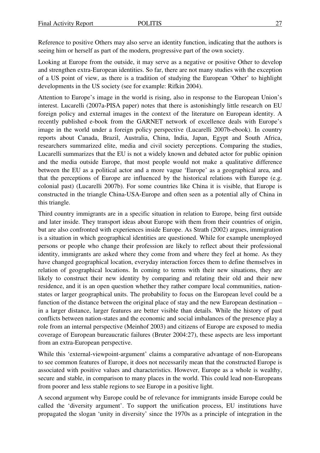Reference to positive Others may also serve an identity function, indicating that the authors is seeing him or herself as part of the modern, progressive part of the own society.

Looking at Europe from the outside, it may serve as a negative or positive Other to develop and strengthen extra-European identities. So far, there are not many studies with the exception of a US point of view, as there is a tradition of studying the European 'Other' to highlight developments in the US society (see for example: Rifkin 2004).

Attention to Europe's image in the world is rising, also in response to the European Union's interest. Lucarelli (2007a-PISA paper) notes that there is astonishingly little research on EU foreign policy and external images in the context of the literature on European identity. A recently published e-book from the GARNET network of excellence deals with Europe's image in the world under a foreign policy perspective (Lucarelli 2007b-ebook). In country reports about Canada, Brazil, Australia, China, India, Japan, Egypt and South Africa, researchers summarized elite, media and civil society perceptions. Comparing the studies, Lucarelli summarizes that the EU is not a widely known and debated actor for public opinion and the media outside Europe, that most people would not make a qualitative difference between the EU as a political actor and a more vague 'Europe' as a geographical area, and that the perceptions of Europe are influenced by the historical relations with Europe (e.g. colonial past) (Lucarelli 2007b). For some countries like China it is visible, that Europe is constructed in the triangle China-USA-Europe and often seen as a potential ally of China in this triangle.

Third country immigrants are in a specific situation in relation to Europe, being first outside and later inside. They transport ideas about Europe with them from their countries of origin, but are also confronted with experiences inside Europe. As Strath (2002) argues, immigration is a situation in which geographical identities are questioned. While for example unemployed persons or people who change their profession are likely to reflect about their professional identity, immigrants are asked where they come from and where they feel at home. As they have changed geographical location, everyday interaction forces them to define themselves in relation of geographical locations. In coming to terms with their new situations, they are likely to construct their new identity by comparing and relating their old and their new residence, and it is an open question whether they rather compare local communities, nationstates or larger geographical units. The probability to focus on the European level could be a function of the distance between the original place of stay and the new European destination – in a larger distance, larger features are better visible than details. While the history of past conflicts between nation-states and the economic and social imbalances of the presence play a role from an internal perspective (Meinhof 2003) and citizens of Europe are exposed to media coverage of European bureaucratic failures (Bruter 2004:27), these aspects are less important from an extra-European perspective.

While this 'external-viewpoint-argument' claims a comparative advantage of non-Europeans to see common features of Europe, it does not necessarily mean that the constructed Europe is associated with positive values and characteristics. However, Europe as a whole is wealthy, secure and stable, in comparison to many places in the world. This could lead non-Europeans from poorer and less stable regions to see Europe in a positive light.

A second argument why Europe could be of relevance for immigrants inside Europe could be called the 'diversity argument'. To support the unification process, EU institutions have propagated the slogan 'unity in diversity' since the 1970s as a principle of integration in the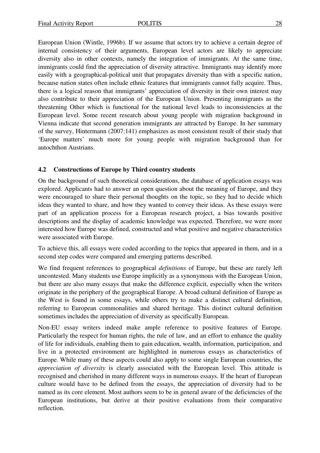European Union (Wintle, 1996b). If we assume that actors try to achieve a certain degree of internal consistency of their arguments, European level actors are likely to appreciate diversity also in other contexts, namely the integration of immigrants. At the same time, immigrants could find the appreciation of diversity attractive. Immigrants may identify more easily with a geographical-political unit that propagates diversity than with a specific nation, because nation states often include ethnic features that immigrants cannot fully acquire. Thus, there is a logical reason that immigrants' appreciation of diversity in their own interest may also contribute to their appreciation of the European Union. Presenting immigrants as the threatening Other which is functional for the national level leads to inconsistencies at the European level. Some recent research about young people with migration background in Vienna indicate that second generation immigrants are attracted by Europe. In her summary of the survey, Hintermann (2007:141) emphasizes as most consistent result of their study that 'Europe matters' much more for young people with migration background than for autochthon Austrians.

## **4.2 Constructions of Europe by Third country students**

On the background of such theoretical considerations, the database of application essays was explored. Applicants had to answer an open question about the meaning of Europe, and they were encouraged to share their personal thoughts on the topic, so they had to decide which ideas they wanted to share, and how they wanted to convey their ideas. As these essays were part of an application process for a European research project, a bias towards positive descriptions and the display of academic knowledge was expected. Therefore, we were more interested how Europe was defined, constructed and what positive and negative characteristics were associated with Europe.

To achieve this, all essays were coded according to the topics that appeared in them, and in a second step codes were compared and emerging patterns described.

We find frequent references to geographical *definitions* of Europe, but these are rarely left uncontested. Many students use Europe implicitly as a synonymous with the European Union, but there are also many essays that make the difference explicit, especially when the writers originate in the periphery of the geographical Europe. A broad cultural definition of Europe as the West is found in some essays, while others try to make a distinct cultural definition, referring to European commonalities and shared heritage. This distinct cultural definition sometimes includes the appreciation of diversity as specifically European.

Non-EU essay writers indeed make ample reference to positive features of Europe. Particularly the respect for human rights, the rule of law, and an effort to enhance the quality of life for individuals, enabling them to gain education, wealth, information, participation, and live in a protected environment are highlighted in numerous essays as characteristics of Europe. While many of these aspects could also apply to some single European countries, the *appreciation of diversity* is clearly associated with the European level. This attitude is recognised and cherished in many different ways in numerous essays. If the heart of European culture would have to be defined from the essays, the appreciation of diversity had to be named as its core element. Most authors seem to be in general aware of the deficiencies of the European institutions, but derive at their positive evaluations from their comparative reflection.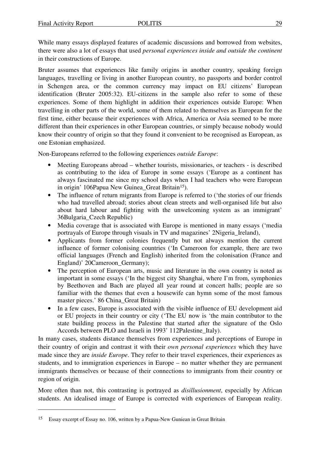While many essays displayed features of academic discussions and borrowed from websites, there were also a lot of essays that used *personal experiences inside and outside the continent* in their constructions of Europe.

Bruter assumes that experiences like family origins in another country, speaking foreign languages, travelling or living in another European country, no passports and border control in Schengen area, or the common currency may impact on EU citizens' European identification (Bruter 2005:32). EU-citizens in the sample also refer to some of these experiences. Some of them highlight in addition their experiences outside Europe: When travelling in other parts of the world, some of them related to themselves as European for the first time, either because their experiences with Africa, America or Asia seemed to be more different than their experiences in other European countries, or simply because nobody would know their country of origin so that they found it convenient to be recognised as European, as one Estonian emphasized.

Non-Europeans referred to the following experiences *outside Europe*:

- Meeting Europeans abroad whether tourists, missionaries, or teachers is described as contributing to the idea of Europe in some essays ('Europe as a continent has always fascinated me since my school days when I had teachers who were European in origin' 106Papua New Guinea Great Britain<sup>15</sup>).
- The influence of return migrants from Europe is referred to ('the stories of our friends who had travelled abroad; stories about clean streets and well-organised life but also about hard labour and fighting with the unwelcoming system as an immigrant' 36Bulgaria\_Czech Republic)
- Media coverage that is associated with Europe is mentioned in many essays ('media portrayals of Europe through visuals in TV and magazines' 2Nigeria\_Ireland),
- Applicants from former colonies frequently but not always mention the current influence of former colonising countries ('In Cameroon for example, there are two official languages (French and English) inherited from the colonisation (France and England)' 20Cameroon\_Germany);
- The perception of European arts, music and literature in the own country is noted as important in some essays ('In the biggest city Shanghai, where I'm from, symphonies by Beethoven and Bach are played all year round at concert halls; people are so familiar with the themes that even a housewife can hymn some of the most famous master pieces.' 86 China\_Great Britain)
- In a few cases, Europe is associated with the visible influence of EU development aid or EU projects in their country or city ('The EU now is 'the main contributor to the state building process in the Palestine that started after the signature of the Oslo Accords between PLO and Israeli in 1993' 112Palestine\_Italy).

In many cases, students distance themselves from experiences and perceptions of Europe in their country of origin and contrast it with their *own personal experiences* which they have made since they are *inside Europe*. They refer to their travel experiences, their experiences as students, and to immigration experiences in Europe – no matter whether they are permanent immigrants themselves or because of their connections to immigrants from their country or region of origin.

More often than not, this contrasting is portrayed as *disillusionment*, especially by African students. An idealised image of Europe is corrected with experiences of European reality.

 $\overline{a}$ 

<sup>15</sup> Essay excerpt of Essay no. 106, written by a Papua-New Guniean in Great Britain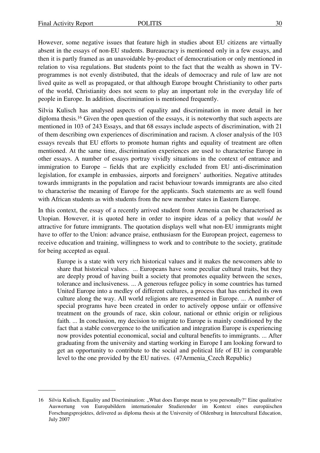However, some negative issues that feature high in studies about EU citizens are virtually absent in the essays of non-EU students. Bureaucracy is mentioned only in a few essays, and then it is partly framed as an unavoidable by-product of democratisation or only mentioned in relation to visa regulations. But students point to the fact that the wealth as shown in TVprogrammes is not evenly distributed, that the ideals of democracy and rule of law are not lived quite as well as propagated, or that although Europe brought Christianity to other parts of the world, Christianity does not seem to play an important role in the everyday life of people in Europe. In addition, discrimination is mentioned frequently.

Silvia Kulisch has analysed aspects of equality and discrimination in more detail in her diploma thesis.16 Given the open question of the essays, it is noteworthy that such aspects are mentioned in 103 of 243 Essays, and that 68 essays include aspects of discrimination, with 21 of them describing own experiences of discrimination and racism. A closer analysis of the 103 essays reveals that EU efforts to promote human rights and equality of treatment are often mentioned. At the same time, discrimination experiences are used to characterise Europe in other essays. A number of essays portray vividly situations in the context of entrance and immigration to Europe – fields that are explicitly excluded from EU anti-discrimination legislation, for example in embassies, airports and foreigners' authorities. Negative attitudes towards immigrants in the population and racist behaviour towards immigrants are also cited to characterise the meaning of Europe for the applicants. Such statements are as well found with African students as with students from the new member states in Eastern Europe.

In this context, the essay of a recently arrived student from Armenia can be characterised as Utopian. However, it is quoted here in order to inspire ideas of a policy that *would be* attractive for future immigrants. The quotation displays well what non-EU immigrants might have to offer to the Union: advance praise, enthusiasm for the European project, eagerness to receive education and training, willingness to work and to contribute to the society, gratitude for being accepted as equal.

Europe is a state with very rich historical values and it makes the newcomers able to share that historical values. ... Europeans have some peculiar cultural traits, but they are deeply proud of having built a society that promotes equality between the sexes, tolerance and inclusiveness. ... A generous refugee policy in some countries has turned United Europe into a medley of different cultures, a process that has enriched its own culture along the way. All world religions are represented in Europe. ... A number of special programs have been created in order to actively oppose unfair or offensive treatment on the grounds of race, skin colour, national or ethnic origin or religious faith. ... In conclusion, my decision to migrate to Europe is mainly conditioned by the fact that a stable convergence to the unification and integration Europe is experiencing now provides potential economical, social and cultural benefits to immigrants. ... After graduating from the university and starting working in Europe I am looking forward to get an opportunity to contribute to the social and political life of EU in comparable level to the one provided by the EU natives. (47Armenia\_Czech Republic)

<sup>16</sup> Silvia Kulisch. Equality and Discrimination: "What does Europe mean to you personally?" Eine qualitative Auswertung von Europabildern internationaler Studierender im Kontext eines europäischen Forschungsprojektes, delivered as diploma thesis at the University of Oldenburg in Intercultural Education, July 2007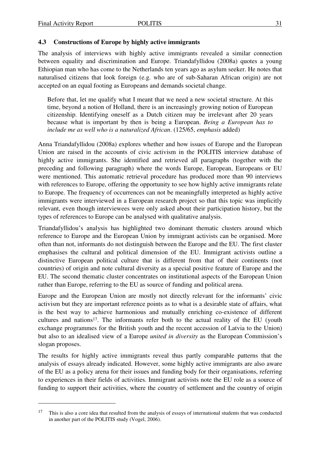## **4.3 Constructions of Europe by highly active immigrants**

The analysis of interviews with highly active immigrants revealed a similar connection between equality and discrimination and Europe. Triandafyllidou (2008a) quotes a young Ethiopian man who has come to the Netherlands ten years ago as asylum seeker. He notes that naturalised citizens that look foreign (e.g. who are of sub-Saharan African origin) are not accepted on an equal footing as Europeans and demands societal change.

Before that, let me qualify what I meant that we need a new societal structure. At this time, beyond a notion of Holland, there is an increasingly growing notion of European citizenship. Identifying oneself as a Dutch citizen may be irrelevant after 20 years because what is important by then is being a European. *Being a European has to include me as well who is a naturalized African*. (125/65, *emphasis* added)

Anna Triandafyllidou (2008a) explores whether and how issues of Europe and the European Union are raised in the accounts of civic activism in the POLITIS interview database of highly active immigrants. She identified and retrieved all paragraphs (together with the preceding and following paragraph) where the words Europe, European, Europeans or EU were mentioned. This automatic retrieval procedure has produced more than 90 interviews with references to Europe, offering the opportunity to see how highly active immigrants relate to Europe. The frequency of occurrences can not be meaningfully interpreted as highly active immigrants were interviewed in a European research project so that this topic was implicitly relevant, even though interviewees were only asked about their participation history, but the types of references to Europe can be analysed with qualitative analysis.

Triandafyllidou's analysis has highlighted two dominant thematic clusters around which reference to Europe and the European Union by immigrant activists can be organised. More often than not, informants do not distinguish between the Europe and the EU. The first cluster emphasises the cultural and political dimension of the EU. Immigrant activists outline a distinctive European political culture that is different from that of their continents (not countries) of origin and note cultural diversity as a special positive feature of Europe and the EU. The second thematic cluster concentrates on institutional aspects of the European Union rather than Europe, referring to the EU as source of funding and political arena.

Europe and the European Union are mostly not directly relevant for the informants' civic activism but they are important reference points as to what is a desirable state of affairs, what is the best way to achieve harmonious and mutually enriching co-existence of different cultures and nations17. The informants refer both to the actual reality of the EU (youth exchange programmes for the British youth and the recent accession of Latvia to the Union) but also to an idealised view of a Europe *united in diversity* as the European Commission's slogan proposes.

The results for highly active immigrants reveal thus partly comparable patterns that the analysis of essays already indicated. However, some highly active immigrants are also aware of the EU as a policy arena for their issues and funding body for their organisations, referring to experiences in their fields of activities. Immigrant activists note the EU role as a source of funding to support their activities, where the country of settlement and the country of origin

<sup>&</sup>lt;sup>17</sup> This is also a core idea that resulted from the analysis of essays of international students that was conducted in another part of the POLITIS study (Vogel, 2006).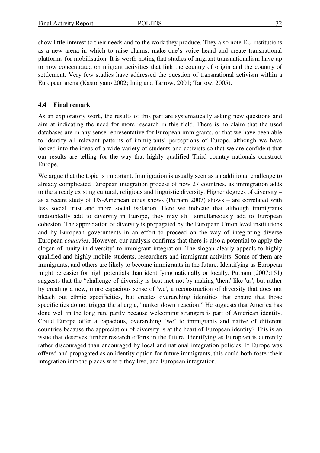show little interest to their needs and to the work they produce. They also note EU institutions as a new arena in which to raise claims, make one's voice heard and create transnational platforms for mobilisation. It is worth noting that studies of migrant transnationalism have up to now concentrated on migrant activities that link the country of origin and the country of settlement. Very few studies have addressed the question of transnational activism within a European arena (Kastoryano 2002; Imig and Tarrow, 2001; Tarrow, 2005).

#### **4.4 Final remark**

As an exploratory work, the results of this part are systematically asking new questions and aim at indicating the need for more research in this field. There is no claim that the used databases are in any sense representative for European immigrants, or that we have been able to identify all relevant patterns of immigrants' perceptions of Europe, although we have looked into the ideas of a wide variety of students and activists so that we are confident that our results are telling for the way that highly qualified Third country nationals construct Europe.

We argue that the topic is important. Immigration is usually seen as an additional challenge to already complicated European integration process of now 27 countries, as immigration adds to the already existing cultural, religious and linguistic diversity. Higher degrees of diversity – as a recent study of US-American cities shows (Putnam 2007) shows – are correlated with less social trust and more social isolation. Here we indicate that although immigrants undoubtedly add to diversity in Europe, they may still simultaneously add to European cohesion. The appreciation of diversity is propagated by the European Union level institutions and by European governments in an effort to proceed on the way of integrating diverse European *countries*. However, our analysis confirms that there is also a potential to apply the slogan of 'unity in diversity' to immigrant integration. The slogan clearly appeals to highly qualified and highly mobile students, researchers and immigrant activists. Some of them are immigrants, and others are likely to become immigrants in the future. Identifying as European might be easier for high potentials than identifying nationally or locally. Putnam (2007:161) suggests that the "challenge of diversity is best met not by making 'them' like 'us', but rather by creating a new, more capacious sense of 'we', a reconstruction of diversity that does not bleach out ethnic specificities, but creates overarching identities that ensure that those specificities do not trigger the allergic, 'hunker down' reaction." He suggests that America has done well in the long run, partly because welcoming strangers is part of American identity. Could Europe offer a capacious, overarching 'we' to immigrants and native of different countries because the appreciation of diversity is at the heart of European identity? This is an issue that deserves further research efforts in the future. Identifying as European is currently rather discouraged than encouraged by local and national integration policies. If Europe was offered and propagated as an identity option for future immigrants, this could both foster their integration into the places where they live, and European integration.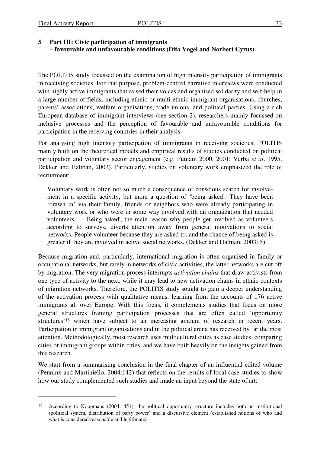## **5 Part III: Civic participation of immigrants – favourable and unfavourable conditions (Dita Vogel and Norbert Cyrus)**

The POLITIS study focussed on the examination of high intensity participation of immigrants in receiving societies. For that purpose, problem-centred narrative interviews were conducted with highly active immigrants that raised their voices and organised solidarity and self-help in a large number of fields, including ethnic or multi-ethnic immigrant organisations, churches, parents' associations, welfare organisations, trade unions, and political parties. Using a rich European database of immigrant interviews (see section 2), researchers mainly focussed on inclusive processes and the perception of favourable and unfavourable conditions for participation in the receiving countries in their analysis.

For analysing high intensity participation of immigrants in receiving societies, POLITIS mainly built on the theoretical models and empirical results of studies conducted on political participation and voluntary sector engagement (e.g. Putnam 2000, 2001; Verba *et al*. 1995, Dekker and Halman, 2003). Particularly, studies on voluntary work emphasized the role of recruitment:

Voluntary work is often not so much a consequence of conscious search for involvement in a specific activity, but more a question of 'being asked'. They have been 'drawn in' via their family, friends or neighbors who were already participating in voluntary work or who were in some way involved with an organization that needed volunteers. ... 'Being asked', the main reason why people get involved as volunteers according to surveys, diverts attention away from general motivations to social networks. People volunteer because they are asked to, and the chance of being asked is greater if they are involved in active social networks. (Dekker and Halman, 2003: 5)

Because migration and, particularly, international migration is often organised in family or occupational networks, but rarely in networks of civic activities, the latter networks are cut off by migration. The very migration process interrupts *activation chains* that draw activists from one type of activity to the next, while it may lead to new activation chains in ethnic contexts of migration networks. Therefore, the POLITIS study sought to gain a deeper understanding of the activation process with qualitative means, learning from the accounts of 176 active immigrants all over Europe. With this focus, it complements studies that focus on more general structures framing participation processes that are often called 'opportunity structures'18 which have subject to an increasing amount of research in recent years. Participation in immigrant organisations and in the political arena has received by far the most attention. Methodologically, most research uses multicultural cities as case studies, comparing cities or immigrant groups within cities, and we have built heavily on the insights gained from this research.

We start from a summarising conclusion in the final chapter of an influential edited volume (Penninx and Martiniello, 2004:142) that reflects on the results of local case studies to show how our study complemented such studies and made an input beyond the state of art:

<sup>18</sup> According to Koopmans (2004: 451), the political opportunity structure includes both an institutional (political system, distribution of party power) and a discursive element (established notions of who and what is considered reasonable and legitimate)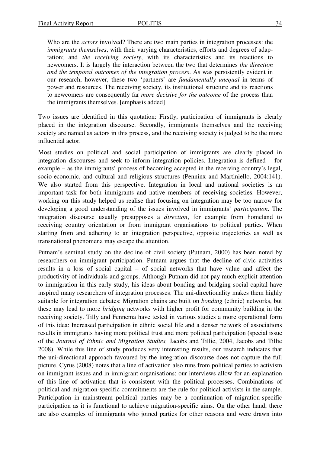Who are the *actors* involved? There are two main parties in integration processes: the *immigrants themselves*, with their varying characteristics, efforts and degrees of adaptation; and *the receiving society*, with its characteristics and its reactions to newcomers. It is largely the interaction between the two that determines *the direction and the temporal outcomes of the integration process*. As was persistently evident in our research, however, these two 'partners' are *fundamentally unequal* in terms of power and resources. The receiving society, its institutional structure and its reactions to newcomers are consequently far *more decisive for the outcome* of the process than the immigrants themselves. [emphasis added]

Two issues are identified in this quotation: Firstly, participation of immigrants is clearly placed in the integration discourse. Secondly, immigrants themselves and the receiving society are named as actors in this process, and the receiving society is judged to be the more influential actor.

Most studies on political and social participation of immigrants are clearly placed in integration discourses and seek to inform integration policies. Integration is defined – for example – as the immigrants' process of becoming accepted in the receiving country's legal, socio-economic, and cultural and religious structures (Penninx and Martiniello, 2004:141). We also started from this perspective. Integration in local and national societies is an important task for both immigrants and native members of receiving societies. However, working on this study helped us realise that focusing on integration may be too narrow for developing a good understanding of the issues involved in immigrants' *participation*. The integration discourse usually presupposes a *direction*, for example from homeland to receiving country orientation or from immigrant organisations to political parties. When starting from and adhering to an integration perspective, opposite trajectories as well as transnational phenomena may escape the attention.

Putnam's seminal study on the decline of civil society (Putnam, 2000) has been noted by researchers on immigrant participation. Putnam argues that the decline of civic activities results in a loss of social capital – of social networks that have value and affect the productivity of individuals and groups. Although Putnam did not pay much explicit attention to immigration in this early study, his ideas about bonding and bridging social capital have inspired many researchers of integration processes. The uni-directionality makes them highly suitable for integration debates: Migration chains are built on *bonding* (ethnic) networks, but these may lead to more *bridging* networks with higher profit for community building in the receiving society. Tilly and Fennema have tested in various studies a more operational form of this idea: Increased participation in ethnic social life and a denser network of associations results in immigrants having more political trust and more political participation (special issue of the *Journal of Ethnic and Migration Studies,* Jacobs and Tillie, 2004, Jacobs and Tillie 2008). While this line of study produces very interesting results, our research indicates that the uni-directional approach favoured by the integration discourse does not capture the full picture. Cyrus (2008) notes that a line of activation also runs from political parties to activism on immigrant issues and in immigrant organisations; our interviews allow for an explanation of this line of activation that is consistent with the political processes. Combinations of political and migration-specific commitments are the rule for political activists in the sample. Participation in mainstream political parties may be a continuation of migration-specific participation as it is functional to achieve migration-specific aims. On the other hand, there are also examples of immigrants who joined parties for other reasons and were drawn into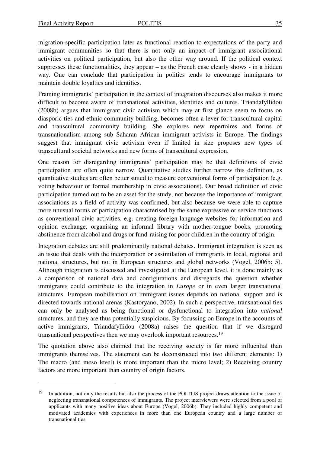migration-specific participation later as functional reaction to expectations of the party and immigrant communities so that there is not only an impact of immigrant associational activities on political participation, but also the other way around. If the political context suppresses these functionalities, they appear – as the French case clearly shows - in a hidden way. One can conclude that participation in politics tends to encourage immigrants to maintain double loyalties and identities.

Framing immigrants' participation in the context of integration discourses also makes it more difficult to become aware of transnational activities, identities and cultures. Triandafyllidou (2008b) argues that immigrant civic activism which may at first glance seem to focus on diasporic ties and ethnic community building, becomes often a lever for transcultural capital and transcultural community building. She explores new repertoires and forms of transnationalism among sub Saharan African immigrant activists in Europe. The findings suggest that immigrant civic activism even if limited in size proposes new types of transcultural societal networks and new forms of transcultural expression.

One reason for disregarding immigrants' participation may be that definitions of civic participation are often quite narrow. Quantitative studies further narrow this definition, as quantitative studies are often better suited to measure conventional forms of participation (e.g. voting behaviour or formal membership in civic associations). Our broad definition of civic participation turned out to be an asset for the study, not because the importance of immigrant associations as a field of activity was confirmed, but also because we were able to capture more unusual forms of participation characterised by the same expressive or service functions as conventional civic activities, e.g. creating foreign-language websites for information and opinion exchange, organising an informal library with mother-tongue books, promoting abstinence from alcohol and drugs or fund-raising for poor children in the country of origin.

Integration debates are still predominantly national debates. Immigrant integration is seen as an issue that deals with the incorporation or assimilation of immigrants in local, regional and national structures, but not in European structures and global networks (Vogel, 2006b: 5). Although integration is discussed and investigated at the European level, it is done mainly as a comparison of national data and configurations and disregards the question whether immigrants could contribute to the integration in *Europe* or in even larger transnational structures. European mobilisation on immigrant issues depends on national support and is directed towards national arenas (Kastoryano, 2002). In such a perspective, transnational ties can only be analysed as being functional or dysfunctional to integration into *national* structures, and they are thus potentially suspicious. By focussing on Europe in the accounts of active immigrants, Triandafyllidou (2008a) raises the question that if we disregard transnational perspectives then we may overlook important resources.<sup>19</sup>

The quotation above also claimed that the receiving society is far more influential than immigrants themselves. The statement can be deconstructed into two different elements: 1) The macro (and meso level) is more important than the micro level; 2) Receiving country factors are more important than country of origin factors.

<sup>&</sup>lt;sup>19</sup> In addition, not only the results but also the process of the POLITIS project draws attention to the issue of neglecting transnational competences of immigrants. The project interviewers were selected from a pool of applicants with many positive ideas about Europe (Vogel, 2006b). They included highly competent and motivated academics with experiences in more than one European country and a large number of transnational ties.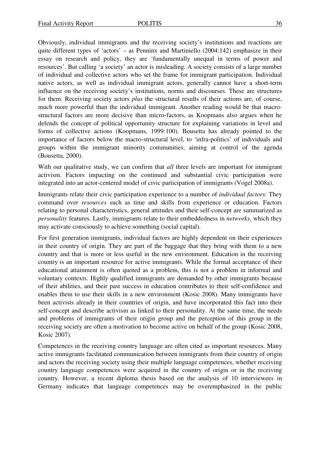Obviously, individual immigrants and the receiving society's institutions and reactions are quite different types of 'actors' – as Penninx and Martiniello (2004:142) emphasize in their essay on research and policy, they are 'fundamentally unequal in terms of power and resources'. But calling 'a society' an actor is misleading. A society consists of a large number of individual and collective actors who set the frame for immigrant participation. Individual native actors, as well as individual immigrant actors, generally cannot have a short-term influence on the receiving society's institutions, norms and discourses. These are structures for them. Receiving society actors *plus* the structural results of their actions are, of course, much more powerful than the individual immigrant. Another reading would be that macrostructural factors are more decisive than micro-factors, as Koopmans also argues when he defends the concept of political opportunity structure for explaining variations in level and forms of collective actions (Koopmans, 1999:100). Bousetta has already pointed to the importance of factors below the macro-structural level, to 'infra-politics' of individuals and groups within the immigrant minority communities, aiming at control of the agenda (Bousetta, 2000).

With our qualitative study, we can confirm that *all* three levels are important for immigrant activism. Factors impacting on the continued and substantial civic participation were integrated into an actor-centered model of civic participation of immigrants (Vogel 2008a).

Immigrants relate their civic participation experience to a number of *individual factors*: They command over *resources* such as time and skills from experience or education. Factors relating to personal characteristics, general attitudes and their self-concept are summarized as *personality* features. Lastly, immigrants relate to their embeddedness in *networks*, which they may activate consciously to achieve something (social capital).

For first generation immigrants, individual factors are highly dependent on their experiences in their country of origin. They are part of the baggage that they bring with them to a new country and that is more or less useful in the new environment. Education in the receiving country is an important resource for active immigrants. While the formal acceptance of their educational attainment is often quoted as a problem, this is not a problem in informal and voluntary contexts. Highly qualified immigrants are demanded by other immigrants because of their abilities, and their past success in education contributes to their self-confidence and enables them to use their skills in a new environment (Kosic 2008). Many immigrants have been activists already in their countries of origin, and have incorporated this fact into their self-concept and describe activism as linked to their personality. At the same time, the needs and problems of immigrants of their origin group and the perception of this group in the receiving society are often a motivation to become active on behalf of the group (Kosic 2008, Kosic 2007).

Competences in the receiving country language are often cited as important resources. Many active immigrants facilitated communication between immigrants from their country of origin and actors the receiving society using their multiple language competences, whether receiving country language competences were acquired in the country of origin or in the receiving country. However, a recent diploma thesis based on the analysis of 10 interviewees in Germany indicates that language competences may be overemphasized in the public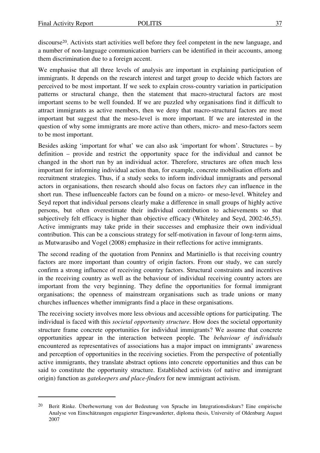discourse20. Activists start activities well before they feel competent in the new language, and a number of non-language communication barriers can be identified in their accounts, among them discrimination due to a foreign accent.

We emphasise that all three levels of analysis are important in explaining participation of immigrants. It depends on the research interest and target group to decide which factors are perceived to be most important. If we seek to explain cross-country variation in participation patterns or structural change, then the statement that macro-structural factors are most important seems to be well founded. If we are puzzled why organisations find it difficult to attract immigrants as active members, then we deny that macro-structural factors are most important but suggest that the meso-level is more important. If we are interested in the question of why some immigrants are more active than others, micro- and meso-factors seem to be most important.

Besides asking 'important for what' we can also ask 'important for whom'. Structures – by definition – provide and restrict the opportunity space for the individual and cannot be changed in the short run by an individual actor. Therefore, structures are often much less important for informing individual action than, for example, concrete mobilisation efforts and recruitment strategies. Thus, if a study seeks to inform individual immigrants and personal actors in organisations, then research should also focus on factors *they* can influence in the short run. These influenceable factors can be found on a micro- or meso-level. Whiteley and Seyd report that individual persons clearly make a difference in small groups of highly active persons, but often overestimate their individual contribution to achievements so that subjectively felt efficacy is higher than objective efficacy (Whiteley and Seyd, 2002:46,55). Active immigrants may take pride in their successes and emphasize their own individual contribution. This can be a conscious strategy for self-motivation in favour of long-term aims, as Mutwarasibo and Vogel (2008) emphasize in their reflections for active immigrants.

The second reading of the quotation from Penninx and Martiniello is that receiving country factors are more important than country of origin factors. From our study, we can surely confirm a strong influence of receiving country factors. Structural constraints and incentives in the receiving country as well as the behaviour of individual receiving country actors are important from the very beginning. They define the opportunities for formal immigrant organisations; the openness of mainstream organisations such as trade unions or many churches influences whether immigrants find a place in these organisations.

The receiving society involves more less obvious and accessible options for participating. The individual is faced with this *societal opportunity structure*. How does the societal opportunity structure frame concrete opportunities for individual immigrants? We assume that concrete opportunities appear in the interaction between people. The *behaviour of individuals*  encountered as representatives of associations has a major impact on immigrants' awareness and perception of opportunities in the receiving societies. From the perspective of potentially active immigrants, they translate abstract options into concrete opportunities and thus can be said to constitute the opportunity structure. Established activists (of native and immigrant origin) function as *gatekeepers and place-finders* for new immigrant activism.

<sup>&</sup>lt;sup>20</sup> Berit Rinke. Überbewertung von der Bedeutung von Sprache im Integrationsdiskurs? Eine empirische Analyse von Einschätzungen engagierter Eingewanderter, diploma thesis, University of Oldenburg August 2007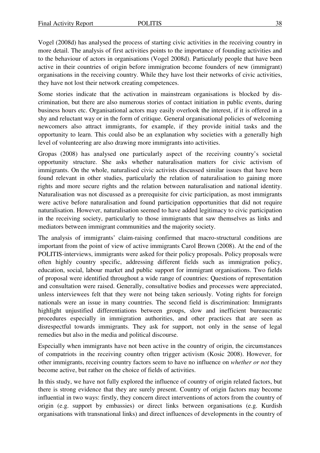Vogel (2008d) has analysed the process of starting civic activities in the receiving country in more detail. The analysis of first activities points to the importance of founding activities and to the behaviour of actors in organisations (Vogel 2008d). Particularly people that have been active in their countries of origin before immigration become founders of new (immigrant) organisations in the receiving country. While they have lost their networks of civic activities, they have not lost their network creating competences.

Some stories indicate that the activation in mainstream organisations is blocked by discrimination, but there are also numerous stories of contact initiation in public events, during business hours etc. Organisational actors may easily overlook the interest, if it is offered in a shy and reluctant way or in the form of critique. General organisational policies of welcoming newcomers also attract immigrants, for example, if they provide initial tasks and the opportunity to learn. This could also be an explanation why societies with a generally high level of volunteering are also drawing more immigrants into activities.

Gropas (2008) has analysed one particularly aspect of the receiving country's societal opportunity structure. She asks whether naturalisation matters for civic activism of immigrants. On the whole, naturalised civic activists discussed similar issues that have been found relevant in other studies, particularly the relation of naturalisation to gaining more rights and more secure rights and the relation between naturalisation and national identity. Naturalisation was not discussed as a prerequisite for civic participation, as most immigrants were active before naturalisation and found participation opportunities that did not require naturalisation. However, naturalisation seemed to have added legitimacy to civic participation in the receiving society, particularly to those immigrants that saw themselves as links and mediators between immigrant communities and the majority society.

The analysis of immigrants' claim-raising confirmed that macro-structural conditions are important from the point of view of active immigrants Carol Brown (2008). At the end of the POLITIS-interviews, immigrants were asked for their policy proposals. Policy proposals were often highly country specific, addressing different fields such as immigration policy, education, social, labour market and public support for immigrant organisations. Two fields of proposal were identified throughout a wide range of countries: Questions of representation and consultation were raised. Generally, consultative bodies and processes were appreciated, unless interviewees felt that they were not being taken seriously. Voting rights for foreign nationals were an issue in many countries. The second field is discrimination: Immigrants highlight unjustified differentiations between groups, slow and inefficient bureaucratic procedures especially in immigration authorities, and other practices that are seen as disrespectful towards immigrants. They ask for support, not only in the sense of legal remedies but also in the media and political discourse.

Especially when immigrants have not been active in the country of origin, the circumstances of compatriots in the receiving country often trigger activism (Kosic 2008). However, for other immigrants, receiving country factors seem to have no influence on *whether or not* they become active, but rather on the choice of fields of activities.

In this study, we have not fully explored the influence of country of origin related factors, but there is strong evidence that they are surely present. Country of origin factors may become influential in two ways: firstly, they concern direct interventions of actors from the country of origin (e.g. support by embassies) or direct links between organisations (e.g. Kurdish organisations with transnational links) and direct influences of developments in the country of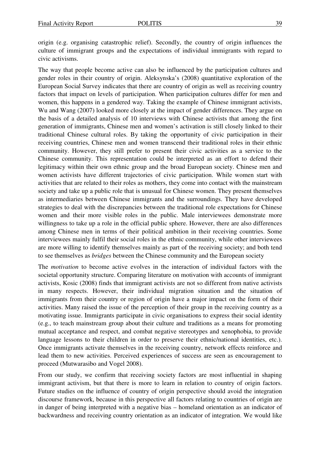origin (e.g. organising catastrophic relief). Secondly, the country of origin influences the culture of immigrant groups and the expectations of individual immigrants with regard to civic activisms.

The way that people become active can also be influenced by the participation cultures and gender roles in their country of origin. Aleksynska's (2008) quantitative exploration of the European Social Survey indicates that there are country of origin as well as receiving country factors that impact on levels of participation. When participation cultures differ for men and women, this happens in a gendered way. Taking the example of Chinese immigrant activists, Wu and Wang (2007) looked more closely at the impact of gender differences. They argue on the basis of a detailed analysis of 10 interviews with Chinese activists that among the first generation of immigrants, Chinese men and women's activation is still closely linked to their traditional Chinese cultural roles. By taking the opportunity of civic participation in their receiving countries, Chinese men and women transcend their traditional roles in their ethnic community. However, they still prefer to present their civic activities as a service to the Chinese community. This representation could be interpreted as an effort to defend their legitimacy within their own ethnic group and the broad European society. Chinese men and women activists have different trajectories of civic participation. While women start with activities that are related to their roles as mothers, they come into contact with the mainstream society and take up a public role that is unusual for Chinese women. They present themselves as intermediaries between Chinese immigrants and the surroundings. They have developed strategies to deal with the discrepancies between the traditional role expectations for Chinese women and their more visible roles in the public. Male interviewees demonstrate more willingness to take up a role in the official public sphere. However, there are also differences among Chinese men in terms of their political ambition in their receiving countries. Some interviewees mainly fulfil their social roles in the ethnic community, while other interviewees are more willing to identify themselves mainly as part of the receiving society; and both tend to see themselves as *bridges* between the Chinese community and the European society

The *motivation* to become active evolves in the interaction of individual factors with the societal opportunity structure. Comparing literature on motivation with accounts of immigrant activists, Kosic (2008) finds that immigrant activists are not so different from native activists in many respects. However, their individual migration situation and the situation of immigrants from their country or region of origin have a major impact on the form of their activities. Many raised the issue of the perception of their group in the receiving country as a motivating issue. Immigrants participate in civic organisations to express their social identity (e.g., to teach mainstream group about their culture and traditions as a means for promoting mutual acceptance and respect, and combat negative stereotypes and xenophobia, to provide language lessons to their children in order to preserve their ethnic/national identities, etc.). Once immigrants activate themselves in the receiving country, network effects reinforce and lead them to new activities. Perceived experiences of success are seen as encouragement to proceed (Mutwarasibo and Vogel 2008).

From our study, we confirm that receiving society factors are most influential in shaping immigrant activism, but that there is more to learn in relation to country of origin factors. Future studies on the influence of country of origin perspective should avoid the integration discourse framework, because in this perspective all factors relating to countries of origin are in danger of being interpreted with a negative bias – homeland orientation as an indicator of backwardness and receiving country orientation as an indicator of integration. We would like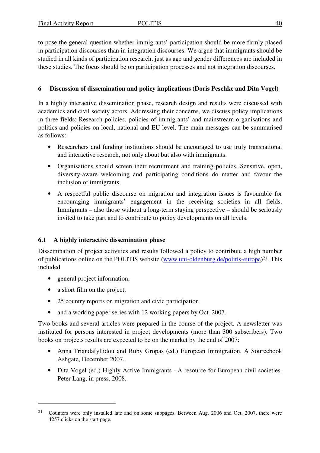to pose the general question whether immigrants' participation should be more firmly placed in participation discourses than in integration discourses. We argue that immigrants should be studied in all kinds of participation research, just as age and gender differences are included in these studies. The focus should be on participation processes and not integration discourses.

## **6 Discussion of dissemination and policy implications (Doris Peschke and Dita Vogel)**

In a highly interactive dissemination phase, research design and results were discussed with academics and civil society actors. Addressing their concerns, we discuss policy implications in three fields: Research policies, policies of immigrants' and mainstream organisations and politics and policies on local, national and EU level. The main messages can be summarised as follows:

- Researchers and funding institutions should be encouraged to use truly transnational and interactive research, not only about but also with immigrants.
- Organisations should screen their recruitment and training policies. Sensitive, open, diversity-aware welcoming and participating conditions do matter and favour the inclusion of immigrants.
- A respectful public discourse on migration and integration issues is favourable for encouraging immigrants' engagement in the receiving societies in all fields. Immigrants – also those without a long-term staying perspective – should be seriously invited to take part and to contribute to policy developments on all levels.

## **6.1 A highly interactive dissemination phase**

Dissemination of project activities and results followed a policy to contribute a high number of publications online on the POLITIS website (www.uni-oldenburg.de/politis-europe)<sup>21</sup>. This included

- general project information,
- a short film on the project,

 $\overline{a}$ 

- 25 country reports on migration and civic participation
- and a working paper series with 12 working papers by Oct. 2007.

Two books and several articles were prepared in the course of the project. A newsletter was instituted for persons interested in project developments (more than 300 subscribers). Two books on projects results are expected to be on the market by the end of 2007:

- Anna Triandafyllidou and Ruby Gropas (ed.) European Immigration. A Sourcebook Ashgate, December 2007.
- Dita Vogel (ed.) Highly Active Immigrants A resource for European civil societies. Peter Lang, in press, 2008.

<sup>21</sup> Counters were only installed late and on some subpages. Between Aug. 2006 and Oct. 2007, there were 4257 clicks on the start page.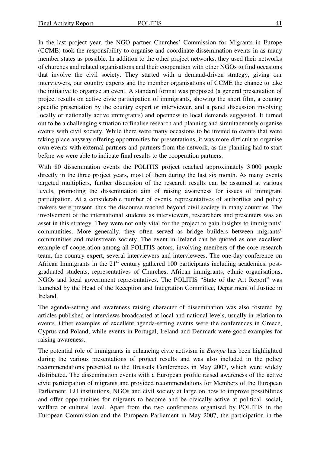In the last project year, the NGO partner Churches' Commission for Migrants in Europe (CCME) took the responsibility to organise and coordinate dissemination events in as many member states as possible. In addition to the other project networks, they used their networks of churches and related organisations and their cooperation with other NGOs to find occasions that involve the civil society. They started with a demand-driven strategy, giving our interviewers, our country experts and the member organisations of CCME the chance to take the initiative to organise an event. A standard format was proposed (a general presentation of project results on active civic participation of immigrants, showing the short film, a country specific presentation by the country expert or interviewer, and a panel discussion involving locally or nationally active immigrants) and openness to local demands suggested. It turned out to be a challenging situation to finalise research and planning and simultaneously organise events with civil society. While there were many occasions to be invited to events that were taking place anyway offering opportunities for presentations, it was more difficult to organise own events with external partners and partners from the network, as the planning had to start before we were able to indicate final results to the cooperation partners.

With 80 dissemination events the POLITIS project reached approximately 3 000 people directly in the three project years, most of them during the last six month. As many events targeted multipliers, further discussion of the research results can be assumed at various levels, promoting the dissemination aim of raising awareness for issues of immigrant participation. At a considerable number of events, representatives of authorities and policy makers were present, thus the discourse reached beyond civil society in many countries. The involvement of the international students as interviewers, researchers and presenters was an asset in this strategy. They were not only vital for the project to gain insights to immigrants' communities. More generally, they often served as bridge builders between migrants' communities and mainstream society. The event in Ireland can be quoted as one excellent example of cooperation among all POLITIS actors, involving members of the core research team, the country expert, several interviewers and interviewees. The one-day conference on African Immigrants in the  $21<sup>st</sup>$  century gathered 100 participants including academics, postgraduated students, representatives of Churches, African immigrants, ethnic organisations, NGOs and local government representatives. The POLITIS "State of the Art Report" was launched by the Head of the Reception and Integration Committee, Department of Justice in Ireland.

The agenda-setting and awareness raising character of dissemination was also fostered by articles published or interviews broadcasted at local and national levels, usually in relation to events. Other examples of excellent agenda-setting events were the conferences in Greece, Cyprus and Poland, while events in Portugal, Ireland and Denmark were good examples for raising awareness.

The potential role of immigrants in enhancing civic activism in *Europe* has been highlighted during the various presentations of project results and was also included in the policy recommendations presented to the Brussels Conferences in May 2007, which were widely distributed. The dissemination events with a European profile raised awareness of the active civic participation of migrants and provided recommendations for Members of the European Parliament, EU institutions, NGOs and civil society at large on how to improve possibilities and offer opportunities for migrants to become and be civically active at political, social, welfare or cultural level. Apart from the two conferences organised by POLITIS in the European Commission and the European Parliament in May 2007, the participation in the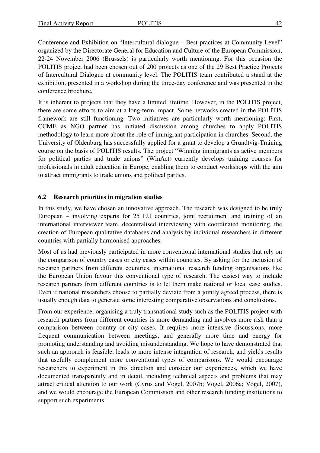Conference and Exhibition on "Intercultural dialogue – Best practices at Community Level" organized by the Directorate General for Education and Culture of the European Commission, 22-24 November 2006 (Brussels) is particularly worth mentioning. For this occasion the POLITIS project had been chosen out of 200 projects as one of the 29 Best Practice Projects of Intercultural Dialogue at community level. The POLITIS team contributed a stand at the exhibition, presented in a workshop during the three-day conference and was presented in the conference brochure.

It is inherent to projects that they have a limited lifetime. However, in the POLITIS project, there are some efforts to aim at a long-term impact. Some networks created in the POLITIS framework are still functioning. Two initiatives are particularly worth mentioning: First, CCME as NGO partner has initiated discussion among churches to apply POLITIS methodology to learn more about the role of immigrant participation in churches. Second, the University of Oldenburg has successfully applied for a grant to develop a Grundtvig-Training course on the basis of POLITIS results. The project "Winning immigrants as active members for political parties and trade unions" (WinAct) currently develops training courses for professionals in adult education in Europe, enabling them to conduct workshops with the aim to attract immigrants to trade unions and political parties.

## **6.2 Research priorities in migration studies**

In this study, we have chosen an innovative approach. The research was designed to be truly European – involving experts for 25 EU countries, joint recruitment and training of an international interviewer team, decentralised interviewing with coordinated monitoring, the creation of European qualitative databases and analysis by individual researchers in different countries with partially harmonised approaches.

Most of us had previously participated in more conventional international studies that rely on the comparison of country cases or city cases within countries. By asking for the inclusion of research partners from different countries, international research funding organisations like the European Union favour this conventional type of research. The easiest way to include research partners from different countries is to let them make national or local case studies. Even if national researchers choose to partially deviate from a jointly agreed process, there is usually enough data to generate some interesting comparative observations and conclusions.

From our experience, organising a truly transnational study such as the POLITIS project with research partners from different countries is more demanding and involves more risk than a comparison between country or city cases. It requires more intensive discussions, more frequent communication between meetings, and generally more time and energy for promoting understanding and avoiding misunderstanding. We hope to have demonstrated that such an approach is feasible, leads to more intense integration of research, and yields results that usefully complement more conventional types of comparisons. We would encourage researchers to experiment in this direction and consider our experiences, which we have documented transparently and in detail, including technical aspects and problems that may attract critical attention to our work (Cyrus and Vogel, 2007b; Vogel, 2006a; Vogel, 2007), and we would encourage the European Commission and other research funding institutions to support such experiments.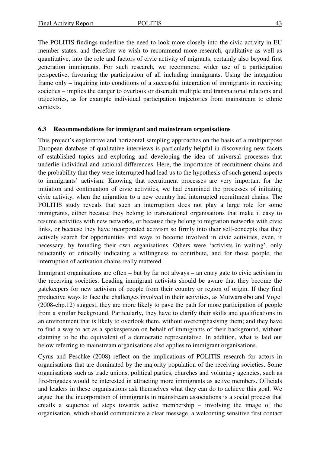The POLITIS findings underline the need to look more closely into the civic activity in EU member states, and therefore we wish to recommend more research, qualitative as well as quantitative, into the role and factors of civic activity of migrants, certainly also beyond first generation immigrants. For such research, we recommend wider use of a participation perspective, favouring the participation of all including immigrants. Using the integration frame only – inquiring into conditions of a successful integration of immigrants in receiving societies – implies the danger to overlook or discredit multiple and transnational relations and trajectories, as for example individual participation trajectories from mainstream to ethnic contexts.

#### **6.3 Recommendations for immigrant and mainstream organisations**

This project's explorative and horizontal sampling approaches on the basis of a multipurpose European database of qualitative interviews is particularly helpful in discovering new facets of established topics and exploring and developing the idea of universal processes that underlie individual and national differences. Here, the importance of recruitment chains and the probability that they were interrupted had lead us to the hypothesis of such general aspects to immigrants' activism. Knowing that recruitment processes are very important for the initiation and continuation of civic activities, we had examined the processes of initiating civic activity, when the migration to a new country had interrupted recruitment chains. The POLITIS study reveals that such an interruption does not play a large role for some immigrants, either because they belong to transnational organisations that make it easy to resume activities with new networks, or because they belong to migration networks with civic links, or because they have incorporated activism so firmly into their self-concepts that they actively search for opportunities and ways to become involved in civic activities, even, if necessary, by founding their own organisations. Others were 'activists in waiting', only reluctantly or critically indicating a willingness to contribute, and for those people, the interruption of activation chains really mattered.

Immigrant organisations are often – but by far not always – an entry gate to civic activism in the receiving societies. Leading immigrant activists should be aware that they become the gatekeepers for new activism of people from their country or region of origin. If they find productive ways to face the challenges involved in their activities, as Mutwarasibo and Vogel (2008-chp.12) suggest, they are more likely to pave the path for more participation of people from a similar background. Particularly, they have to clarify their skills and qualifications in an environment that is likely to overlook them, without overemphasising them; and they have to find a way to act as a spokesperson on behalf of immigrants of their background, without claiming to be the equivalent of a democratic representative. In addition, what is laid out below referring to mainstream organisations also applies to immigrant organisations.

Cyrus and Peschke (2008) reflect on the implications of POLITIS research for actors in organisations that are dominated by the majority population of the receiving societies. Some organisations such as trade unions, political parties, churches and voluntary agencies, such as fire-brigades would be interested in attracting more immigrants as active members. Officials and leaders in these organisations ask themselves what they can do to achieve this goal. We argue that the incorporation of immigrants in mainstream associations is a social process that entails a sequence of steps towards active membership – involving the image of the organisation, which should communicate a clear message, a welcoming sensitive first contact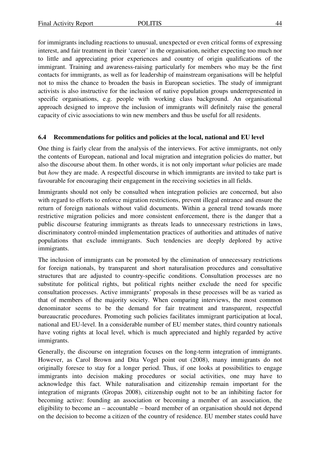for immigrants including reactions to unusual, unexpected or even critical forms of expressing interest, and fair treatment in their 'career' in the organisation, neither expecting too much nor to little and appreciating prior experiences and country of origin qualifications of the immigrant. Training and awareness-raising particularly for members who may be the first contacts for immigrants, as well as for leadership of mainstream organisations will be helpful not to miss the chance to broaden the basis in European societies. The study of immigrant activists is also instructive for the inclusion of native population groups underrepresented in specific organisations, e.g. people with working class background. An organisational approach designed to improve the inclusion of immigrants will definitely raise the general capacity of civic associations to win new members and thus be useful for all residents.

### **6.4 Recommendations for politics and policies at the local, national and EU level**

One thing is fairly clear from the analysis of the interviews. For active immigrants, not only the contents of European, national and local migration and integration policies do matter, but also the discourse about them. In other words, it is not only important *what* policies are made but *how* they are made. A respectful discourse in which immigrants are invited to take part is favourable for encouraging their engagement in the receiving societies in all fields.

Immigrants should not only be consulted when integration policies are concerned, but also with regard to efforts to enforce migration restrictions, prevent illegal entrance and ensure the return of foreign nationals without valid documents. Within a general trend towards more restrictive migration policies and more consistent enforcement, there is the danger that a public discourse featuring immigrants as threats leads to unnecessary restrictions in laws, discriminatory control-minded implementation practices of authorities and attitudes of native populations that exclude immigrants. Such tendencies are deeply deplored by active immigrants.

The inclusion of immigrants can be promoted by the elimination of unnecessary restrictions for foreign nationals, by transparent and short naturalisation procedures and consultative structures that are adjusted to country-specific conditions. Consultation processes are no substitute for political rights, but political rights neither exclude the need for specific consultation processes. Active immigrants' proposals in these processes will be as varied as that of members of the majority society. When comparing interviews, the most common denominator seems to be the demand for fair treatment and transparent, respectful bureaucratic procedures. Promoting such policies facilitates immigrant participation at local, national and EU-level. In a considerable number of EU member states, third country nationals have voting rights at local level, which is much appreciated and highly regarded by active immigrants.

Generally, the discourse on integration focuses on the long-term integration of immigrants. However, as Carol Brown and Dita Vogel point out (2008), many immigrants do not originally foresee to stay for a longer period. Thus, if one looks at possibilities to engage immigrants into decision making procedures or social activities, one may have to acknowledge this fact. While naturalisation and citizenship remain important for the integration of migrants (Gropas 2008), citizenship ought not to be an inhibiting factor for becoming active: founding an association or becoming a member of an association, the eligibility to become an – accountable – board member of an organisation should not depend on the decision to become a citizen of the country of residence. EU member states could have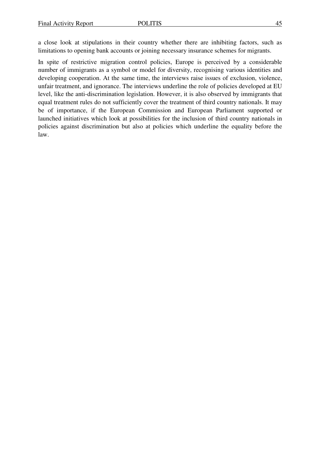a close look at stipulations in their country whether there are inhibiting factors, such as limitations to opening bank accounts or joining necessary insurance schemes for migrants.

In spite of restrictive migration control policies, Europe is perceived by a considerable number of immigrants as a symbol or model for diversity, recognising various identities and developing cooperation. At the same time, the interviews raise issues of exclusion, violence, unfair treatment, and ignorance. The interviews underline the role of policies developed at EU level, like the anti-discrimination legislation. However, it is also observed by immigrants that equal treatment rules do not sufficiently cover the treatment of third country nationals. It may be of importance, if the European Commission and European Parliament supported or launched initiatives which look at possibilities for the inclusion of third country nationals in policies against discrimination but also at policies which underline the equality before the law.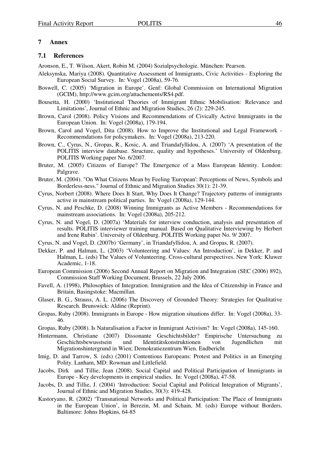#### **7 Annex**

#### **7.1 References**

Aronson, E., T. Wilson, Akert, Robin M. (2004) Sozialpsychologie. München: Pearson.

- Aleksynska, Mariya (2008). Quantitative Assessment of Immigrants, Civic Activities Exploring the European Social Survey. In: Vogel (2008a), 59-76.
- Boswell, C. (2005) 'Migration in Europe'. Genf: Global Commission on International Migration (GCIM), http://www.gcim.org/attachements/RS4.pdf.
- Bousetta, H. (2000) 'Institutional Theories of Immigrant Ethnic Mobilisation: Relevance and Limitations', Journal of Ethnic and Migration Studies, 26 (2): 229-245.
- Brown, Carol (2008). Policy Visions and Recommendations of Civically Active Immigrants in the European Union. In: Vogel (2008a), 179-194.
- Brown, Carol and Vogel, Dita (2008). How to Improve the Institutional and Legal Framework Recommemdations for policymakers. In: Vogel (2008a), 213-220.
- Brown, C., Cyrus, N., Gropas, R., Kosic, A. and Triandafyllidou, A. (2007) 'A presentation of the POLITIS interview database. Structure, quality and hypotheses.' University of Oldenburg. POLITIS Working paper No. 6/2007.
- Bruter, M. (2005) Citizens of Europe? The Emergence of a Mass European Identity. London: Palgrave.
- Bruter, M. (2004). "On What Citizens Mean by Feeling 'European': Perceptions of News, Symbols and Borderless-ness." Journal of Ethnic and Migration Studies 30(1): 21-39.
- Cyrus, Norbert (2008). Where Does It Start, Why Does It Change? Trajectory patterns of immigrants active in mainstream political parties. In: Vogel (2008a), 129-144.
- Cyrus, N. and Peschke, D. (2008) Winning Immigrants as Active Members Recommendations for mainstream associations. In: Vogel (2008a), 205-212.
- Cyrus, N. and Vogel, D. (2007a) 'Materials for interview conduction, analysis and presentation of results. POLITIS interviewer training manual. Based on Qualitative Interviewing by Herbert and Irene Rubin'. University of Oldenburg. POLITIS Working paper No. 9/ 2007.
- Cyrus, N. and Vogel, D. (2007b) 'Germany', in Triandafyllidou, A. and Gropas, R. (2007).
- Dekker, P. and Halman, L. (2003) 'Volunteering and Values: An Introduction', in Dekker, P. and Halman, L. (eds) The Values of Volunteering. Cross-cultural perspectives. New York: Kluwer Academic, 1-18.
- European Commission (2006) Second Annual Report on Migration and Integration (SEC (2006) 892), Commission Staff Working Document, Brussels, 22 July 2006.
- Favell, A. (1998), Philosophies of Integration. Immigration and the Idea of Citizenship in France and Britain, Basingstoke: Macmillan.
- Glaser, B. G., Strauss, A. L. (2006) The Discovery of Grounded Theory: Strategies for Qualitative Research. Brunswick: Aldine (Reprint).
- Gropas, Ruby (2008). Immigrants in Europe How migration situations differ. In: Vogel (2008a), 33- 46.
- Gropas, Ruby (2008). Is Naturalisation a Factor in Immigrant Activism? In: Vogel (2008a), 145-160.
- Hintermann, Christiane (2007) Dissonante Geschichtsbilder? Empirische Untersuchung zu Geschichtsbewusstsein und Identitätskonstruktionen von Jugendlichen mit Migrationshintergrund in Wien; Demokratiezentrum Wien. Endbericht
- Imig, D. and Tarrow, S. (eds) (2001) Contentious Europeans: Protest and Politics in an Emerging Polity. Lanham, MD: Rowman and Littlefield.
- Jacobs, Dirk and Tillie, Jean (2008). Social Capital and Political Participation of Immigrants in Europe - Key developments in empirical studies. In: Vogel (2008a), 47-58.
- Jacobs, D. and Tillie, J. (2004) 'Introduction: Social Capital and Political Integration of Migrants', Journal of Ethnic and Migration Studies, 30(3): 419-428.
- Kastoryano, R. (2002) 'Transnational Networks and Political Participation: The Place of Immigrants in the European Union', in Berezin, M. and Schain, M. (eds) Europe without Borders. Baltimore: Johns Hopkins, 64-85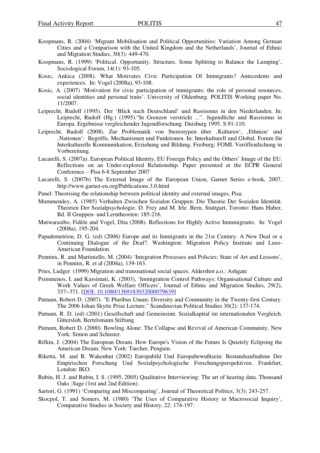- Koopmans, R. (2004) 'Migrant Mobilisation and Political Opportunities: Variation Among German Cities and a Comparison with the United Kingdom and the Netherlands', Journal of Ethnic and Migration Studies, 30(3): 449-470.
- Koopmans, R. (1999) 'Political. Opportunity. Structure. Some Splitting to Balance the Lumping', Sociological Forum, 14(1): 93-105.
- Kosic, Ankica (2008). What Motivates Civic Participation Of Immigrants? Antecedents and experiences. In: Vogel (2008a), 93-108.
- Kosic, A. (2007) 'Motivation for civic participation of immigrants: the role of personal resources, social identities and personal traits'. University of Oldenburg. POLITIS Working paper No. 11/2007.
- Leiprecht, Rudolf (1995). Der 'Blick nach Deutschland' und Rassismus in den Niederlanden. In: Leiprecht, Rudolf (Hg.) (1995)."In Grenzen verstrickt ...". Jugendliche und Rassismus in Europa. Ergebnisse vergleichender Jugendforschung. Duisburg 1995. S.91-110.
- Leiprecht, Rudolf (2008). Zur Problematik von Stereotypen über "Kulturen', "Ethnien' und 'Nationen': Begriffe, Mechanismen und Funktionen. In: Interkulturell und Global. Forum für Interkulturelle Kommunikation, Erziehung und Bildung. Freiburg: FOMI. Veröffentlichung in Vorbereitung.
- Lucarelli, S. (2007a). European Political Identity, EU Foreign Policy and the Others' Image of the EU. Reflections on an Under-explored Relationship. Paper presented at the ECPR General Conference – Pisa 6-8 September 2007
- Lucarelli, S. (2007b) The External Image of the European Union, Garnet Series e-book, 2007, http://www.garnet-eu.org/Publications.3.0.html
- Panel: Theorising the relationship between political identity and external images, Pisa.
- Mummendey, A. (1985) Verhalten Zwischen Sozialen Gruppen: Die Theorie Der Sozialen Identität. Theorien Der Sozialpsychologie. D. Frey and M. Irle. Bern, Stuttgart, Toronto: Hans Huber, Bd. II Gruppen- und Lerntheorien: 185-216.
- Mutwarasibo, Fidèle and Vogel, Dita (2008). Reflections for Highly Active Immmigrants. In: Vogel (2008a), 195-204.
- Papademetriou, D. G. (ed) (2006) Europe and its Immigrants in the 21st Century. A New Deal or a Continuing Dialogue of the Deaf?. Washington: Migration Policy Institute and Luso-American Foundation.
- Penninx, R. and Martiniello, M. (2004) 'Integration Processes and Policies: State of Art and Lessons', in Penninx, R. et al (2004a), 139-163.
- Pries, Ludger (1999) Migration and transnational social spaces. Aldershot a.o.: Ashgate
- Psimmenos, I. and Kassimati, K. (2003), 'Immigration Control Pathways: Organisational Culture and Work Values of Greek Welfare Officers', Journal of Ethnic and Migration Studies, 29(2), 337−371. [DOI: 10.1080/1369183032000079639]
- Putnam, Robert D. (2007). "E Pluribus Unum: Diversity and Community in the Twenty-first Century. The 2006 Johan Skytte Prize Lecture." Scandinavian Political Studies 30(2): 137-174.
- Putnam, R. D. (ed) (2001) Gesellschaft und Gemeinsinn. Sozialkapital im internationalen Vergleich. Gütersloh, Bertelsmann Stiftung.
- Putnam, Robert D. (2000). Bowling Alone: The Collapse and Revival of American Community. New York: Simon and Schuster.
- Rifkin, J. (2004) The European Dream. How Europe's Vision of the Future Is Quietely Eclipsing the American Dream. New York: Tarcher, Penguin.
- Riketta, M. and R. Wakenhut (2002) Europabild Und Europabewußtsein: Bestandsaufnahme Der Empirischen Forschung Und Sozialpsychologische Forschungsperspektiven. Frankfurt, London: IKO.
- Rubin, H. J. and Rubin, I. S. (1995, 2005) Qualitative Interviewing: The art of hearing data. Thousand Oaks :Sage (1rst and 2nd Edition).
- Sartori, G. (1991) 'Comparing and Miscomparing', Journal of Theoretical Politics, 3(3): 243-257.
- Skocpol, T. and Somers, M. (1980) 'The Uses of Comparative History in Macrosocial Inquiry', Comparative Studies in Society and History, 22: 174-197.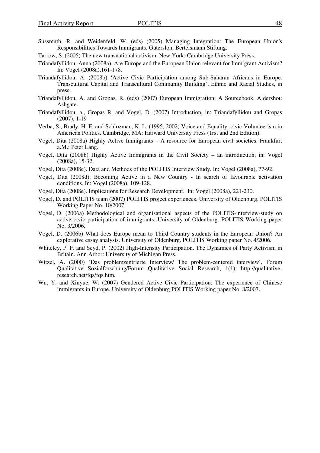- Süssmuth, R. and Weidenfeld, W. (eds) (2005) Managing Integration: The European Union's Responsibilities Towards Immigrants. Gütersloh: Bertelsmann Stiftung.
- Tarrow, S. (2005) The new transnational activism. New York: Cambridge University Press.
- Triandafyllidou, Anna (2008a). Are Europe and the European Union relevant for Immigrant Activism? In: Vogel (2008a),161-178.
- Triandafyllidou, A. (2008b) 'Active Civic Participation among Sub-Saharan Africans in Europe. Transcultural Capital and Transcultural Community Building', Ethnic and Racial Studies, in press.
- Triandafyllidou, A. and Gropas, R. (eds) (2007) European Immigration: A Sourcebook. Aldershot: Ashgate.
- Triandafyllidou, a., Gropas R. and Vogel, D. (2007) Introduction, in: Triandafyllidou and Gropas (2007), 1-19
- Verba, S., Brady, H. E. and Schlozman, K. L. (1995, 2002) Voice and Equality: civic Volunteerism in American Politics. Cambridge, MA: Harward University Press (1rst and 2nd Edition).
- Vogel, Dita (2008a) Highly Active Immigrants A resource for European civil societies. Frankfurt a.M.: Peter Lang.
- Vogel, Dita (2008b) Highly Active Immigrants in the Civil Society an introduction, in: Vogel (2008a), 15-32.
- Vogel, Dita (2008c). Data and Methods of the POLITIS Interview Study. In: Vogel (2008a), 77-92.
- Vogel, Dita (2008d). Becoming Active in a New Country In search of favourable activation conditions. In: Vogel (2008a), 109-128.
- Vogel, Dita (2008e). Implications for Research Development. In: Vogel (2008a), 221-230.
- Vogel, D. and POLITIS team (2007) POLITIS project experiences. University of Oldenburg. POLITIS Working Paper No. 10/2007.
- Vogel, D. (2006a) Methodological and organisational aspects of the POLITIS-interview-study on active civic participation of immigrants. University of Oldenburg. POLITIS Working paper No. 3/2006.
- Vogel, D. (2006b) What does Europe mean to Third Country students in the European Union? An explorative essay analysis. University of Oldenburg. POLITIS Working paper No. 4/2006.
- Whiteley, P. F. and Seyd, P. (2002) High-Intensity Participation. The Dynamics of Party Activism in Britain. Ann Arbor: University of Michigan Press.
- Witzel, A. (2000) 'Das problemzentrierte Interview/ The problem-centered interview', Forum Qualitative Sozialforschung/Forum Qualitative Social Research, 1(1), http://qualitativeresearch.net/fqs/fqs.htm.
- Wu, Y. and Xinyue, W. (2007) Gendered Active Civic Participation: The experience of Chinese immigrants in Europe. University of Oldenburg POLITIS Working paper No. 8/2007.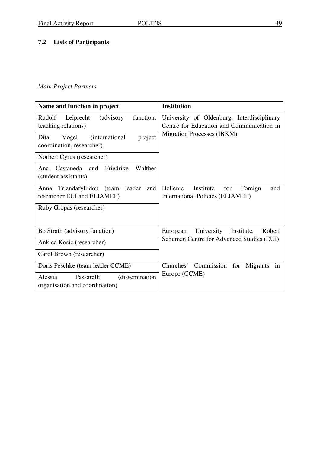## **7.2 Lists of Participants**

## *Main Project Partners*

| Name and function in project                                                    | <b>Institution</b>                                                                      |  |
|---------------------------------------------------------------------------------|-----------------------------------------------------------------------------------------|--|
| function,<br>Rudolf<br>Leiprecht<br>(advisory)<br>teaching relations)           | University of Oldenburg, Interdisciplinary<br>Centre for Education and Communication in |  |
| Vogel<br><i>(international)</i><br>project<br>Dita<br>coordination, researcher) | Migration Processes (IBKM)                                                              |  |
| Norbert Cyrus (researcher)                                                      |                                                                                         |  |
| Castaneda and Friedrike<br>Walther<br>Ana<br>(student assistants)               |                                                                                         |  |
| Triandafyllidou<br>(team leader<br>and<br>Anna<br>researcher EUI and ELIAMEP)   | Hellenic<br>Institute<br>for<br>Foreign<br>and<br>International Policies (ELIAMEP)      |  |
| Ruby Gropas (researcher)                                                        |                                                                                         |  |
| Bo Strath (advisory function)                                                   | University<br>European<br>Institute,<br>Robert                                          |  |
| Ankica Kosic (researcher)                                                       | Schuman Centre for Advanced Studies (EUI)                                               |  |
| Carol Brown (researcher)                                                        |                                                                                         |  |
| Doris Peschke (team leader CCME)                                                | Churches' Commission for<br>Migrants<br>in                                              |  |
| Alessia<br>(dissemination)<br>Passarelli<br>organisation and coordination)      | Europe (CCME)                                                                           |  |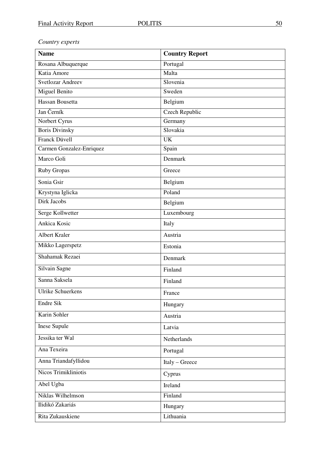*Country experts* 

| <b>Name</b>              | <b>Country Report</b> |  |
|--------------------------|-----------------------|--|
| Rosana Albuquerque       | Portugal              |  |
| Katia Amore              | Malta                 |  |
| Svetlozar Andreev        | Slovenia              |  |
| Miguel Benito            | Sweden                |  |
| Hassan Bousetta          | Belgium               |  |
| Jan Černík               | Czech Republic        |  |
| Norbert Cyrus            | Germany               |  |
| <b>Boris Divinsky</b>    | Slovakia              |  |
| <b>Franck Düvell</b>     | <b>UK</b>             |  |
| Carmen Gonzalez-Enriquez | Spain                 |  |
| Marco Goli               | Denmark               |  |
| Ruby Gropas              | Greece                |  |
| Sonia Gsir               | Belgium               |  |
| Krystyna Iglicka         | Poland                |  |
| Dirk Jacobs              | Belgium               |  |
| Serge Kollwetter         | Luxembourg            |  |
| Ankica Kosic             | Italy                 |  |
| <b>Albert Kraler</b>     | Austria               |  |
| Mikko Lagerspetz         | Estonia               |  |
| Shahamak Rezaei          | Denmark               |  |
| Silvain Sagne            | Finland               |  |
| Sanna Saksela            | Finland               |  |
| Ulrike Schuerkens        | France                |  |
| <b>Endre Sik</b>         | Hungary               |  |
| Karin Sohler             | Austria               |  |
| Inese Supule             | Latvia                |  |
| Jessika ter Wal          | Netherlands           |  |
| Ana Texeira              | Portugal              |  |
| Anna Triandafyllidou     | Italy - Greece        |  |
| Nicos Trimikliniotis     | Cyprus                |  |
| Abel Ugba                | Ireland               |  |
| Niklas Wilhelmson        | Finland               |  |
| Ilidikó Zakariás         | Hungary               |  |
| Rita Zukauskiene         | Lithuania             |  |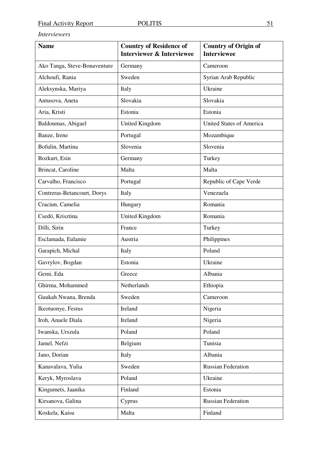#### *Interviewers*

| <b>Name</b>                  | <b>Country of Residence of</b><br><b>Interviewer &amp; Interviewee</b> | <b>Country of Origin of</b><br><b>Interviewee</b> |
|------------------------------|------------------------------------------------------------------------|---------------------------------------------------|
| Ako Tanga, Steve-Bonaventure | Germany                                                                | Cameroon                                          |
| Alchoufi, Rania              | Sweden                                                                 | Syrian Arab Republic                              |
| Aleksynska, Mariya           | Italy                                                                  | Ukraine                                           |
| Antusova, Aneta              | Slovakia                                                               | Slovakia                                          |
| Aria, Kristi                 | Estonia                                                                | Estonia                                           |
| Baldoumas, Abigael           | <b>United Kingdom</b>                                                  | <b>United States of America</b>                   |
| Banze, Irene                 | Portugal                                                               | Mozambique                                        |
| Bofulin, Martina             | Slovenia                                                               | Slovenia                                          |
| Bozkurt, Esin                | Germany                                                                | Turkey                                            |
| Brincat, Caroline            | Malta                                                                  | Malta                                             |
| Carvalho, Francisco          | Portugal                                                               | Republic of Cape Verde                            |
| Contreras-Betancourt, Dorys  | Italy                                                                  | Venezuela                                         |
| Craciun, Camelia             | Hungary                                                                | Romania                                           |
| Csedö, Krisztina             | United Kingdom                                                         | Romania                                           |
| Dilli, Sirin                 | France                                                                 | Turkey                                            |
| Esclamada, Eulamie           | Austria                                                                | Philippines                                       |
| Garapich, Michal             | Italy                                                                  | Poland                                            |
| Gavrylov, Bogdan             | Estonia                                                                | Ukraine                                           |
| Gemi, Eda                    | Greece                                                                 | Albania                                           |
| Ghirma, Mohammed             | Netherlands                                                            | Ethiopia                                          |
| Guukah Nwana, Brenda         | Sweden                                                                 | Cameroon                                          |
| Ikeotuonye, Festus           | Ireland                                                                | Nigeria                                           |
| Iroh, Anaele Diala           | Ireland                                                                | Nigeria                                           |
| Iwanska, Urszula             | Poland                                                                 | Poland                                            |
| Jamel, Nefzi                 | Belgium                                                                | Tunisia                                           |
| Jano, Dorian                 | Italy                                                                  | Albania                                           |
| Kanavalava, Yulia            | Sweden                                                                 | <b>Russian Federation</b>                         |
| Keryk, Myroslava             | Poland                                                                 | Ukraine                                           |
| Kingumets, Jaanika           | Finland                                                                | Estonia                                           |
| Kirsanova, Galina            | Cyprus                                                                 | <b>Russian Federation</b>                         |
| Koskela, Kaisu               | Malta                                                                  | Finland                                           |